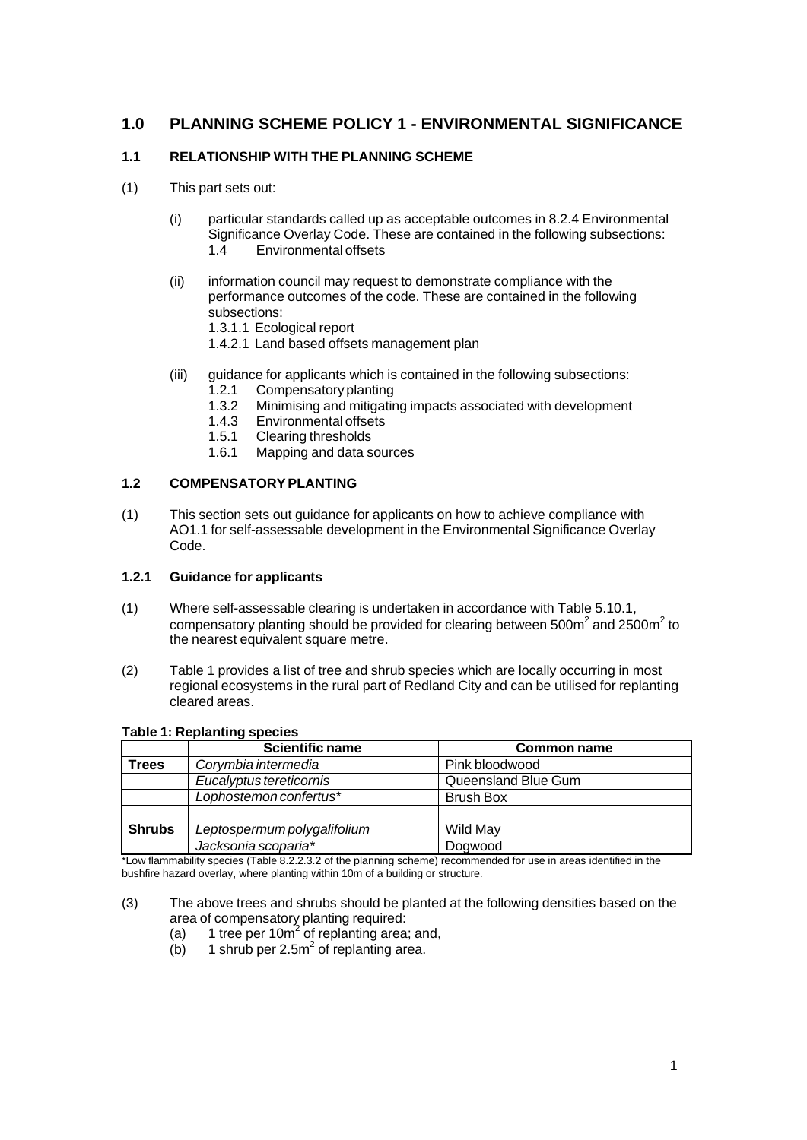## **1.0 PLANNING SCHEME POLICY 1 - ENVIRONMENTAL SIGNIFICANCE**

## **1.1 RELATIONSHIP WITH THE PLANNING SCHEME**

- (1) This part sets out:
	- (i) particular standards called up as acceptable outcomes in 8.2.4 Environmental Significance Overlay Code. These are contained in the following subsections:<br>14 Environmental offsets Environmental offsets
	- (ii) information council may request to demonstrate compliance with the performance outcomes of the code. These are contained in the following subsections:
		- 1.3.1.1 Ecological report
		- 1.4.2.1 Land based offsets management plan
	- (iii) guidance for applicants which is contained in the following subsections:
		- 1.2.1 Compensatory planting
		- 1.3.2 Minimising and mitigating impacts associated with development
		- 1.4.3 Environmental offsets
		- 1.5.1 Clearing thresholds
		- 1.6.1 Mapping and data sources

## **1.2 COMPENSATORYPLANTING**

(1) This section sets out guidance for applicants on how to achieve compliance with AO1.1 for self-assessable development in the Environmental Significance Overlay Code.

## **1.2.1 Guidance for applicants**

- (1) Where self-assessable clearing is undertaken in accordance with Table 5.10.1, compensatory planting should be provided for clearing between 500m<sup>2</sup> and 2500m<sup>2</sup> to the nearest equivalent square metre.
- (2) Table 1 provides a list of tree and shrub species which are locally occurring in most regional ecosystems in the rural part of Redland City and can be utilised for replanting cleared areas.

|               | <b>Scientific name</b>      | Common name         |
|---------------|-----------------------------|---------------------|
| Trees         | Corymbia intermedia         | Pink bloodwood      |
|               | Eucalyptus tereticornis     | Queensland Blue Gum |
|               | Lophostemon confertus*      | <b>Brush Box</b>    |
|               |                             |                     |
| <b>Shrubs</b> | Leptospermum polygalifolium | Wild May            |
|               | Jacksonia scoparia*         | Dogwood             |

#### **Table 1: Replanting species**

\*Low flammability species (Table 8.2.2.3.2 of the planning scheme) recommended for use in areas identified in the bushfire hazard overlay, where planting within 10m of a building or structure.

- (3) The above trees and shrubs should be planted at the following densities based on the area of compensatory planting required:
	- (a) 1 tree per 10 $m^2$  of replanting area; and,
	- $(b)$  1 shrub per 2.5m<sup>2</sup> of replanting area.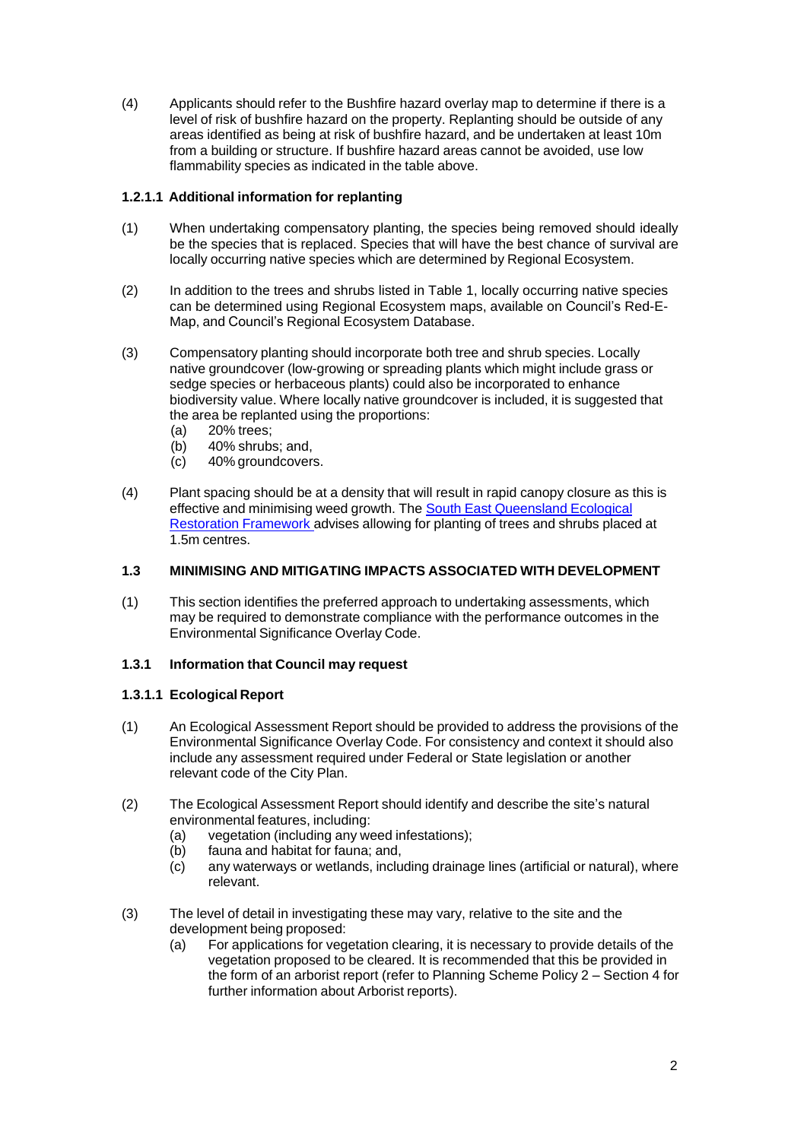(4) Applicants should refer to the Bushfire hazard overlay map to determine if there is a level of risk of bushfire hazard on the property. Replanting should be outside of any areas identified as being at risk of bushfire hazard, and be undertaken at least 10m from a building or structure. If bushfire hazard areas cannot be avoided, use low flammability species as indicated in the table above.

## **1.2.1.1 Additional information for replanting**

- (1) When undertaking compensatory planting, the species being removed should ideally be the species that is replaced. Species that will have the best chance of survival are locally occurring native species which are determined by Regional Ecosystem.
- (2) In addition to the trees and shrubs listed in Table 1, locally occurring native species can be determined using Regional Ecosystem maps, available on Council's Red-E-Map, and Council's Regional Ecosystem Database.
- (3) Compensatory planting should incorporate both tree and shrub species. Locally native groundcover (low-growing or spreading plants which might include grass or sedge species or herbaceous plants) could also be incorporated to enhance biodiversity value. Where locally native groundcover is included, it is suggested that the area be replanted using the proportions:
	- (a) 20% trees;
	- (b) 40% shrubs; and,
	- (c) 40% groundcovers.
- (4) Plant spacing should be at a density that will result in rapid canopy closure as this is effective and minimising weed growth. The South East [Queensland](http://www.seqcatchments.com.au/seq-ecological-restoration-framework) Ecological [Restoration](http://www.seqcatchments.com.au/seq-ecological-restoration-framework) Framework advises allowing for planting of trees and shrubs placed at 1.5m centres.

## **1.3 MINIMISING AND MITIGATING IMPACTS ASSOCIATED WITH DEVELOPMENT**

(1) This section identifies the preferred approach to undertaking assessments, which may be required to demonstrate compliance with the performance outcomes in the Environmental Significance Overlay Code.

## **1.3.1 Information that Council may request**

## **1.3.1.1 Ecological Report**

- (1) An Ecological Assessment Report should be provided to address the provisions of the Environmental Significance Overlay Code. For consistency and context it should also include any assessment required under Federal or State legislation or another relevant code of the City Plan.
- (2) The Ecological Assessment Report should identify and describe the site's natural environmental features, including:
	- (a) vegetation (including any weed infestations);
	- (b) fauna and habitat for fauna; and,
	- (c) any waterways or wetlands, including drainage lines (artificial or natural), where relevant.
- (3) The level of detail in investigating these may vary, relative to the site and the development being proposed:
	- (a) For applications for vegetation clearing, it is necessary to provide details of the vegetation proposed to be cleared. It is recommended that this be provided in the form of an arborist report (refer to Planning Scheme Policy 2 – Section 4 for further information about Arborist reports).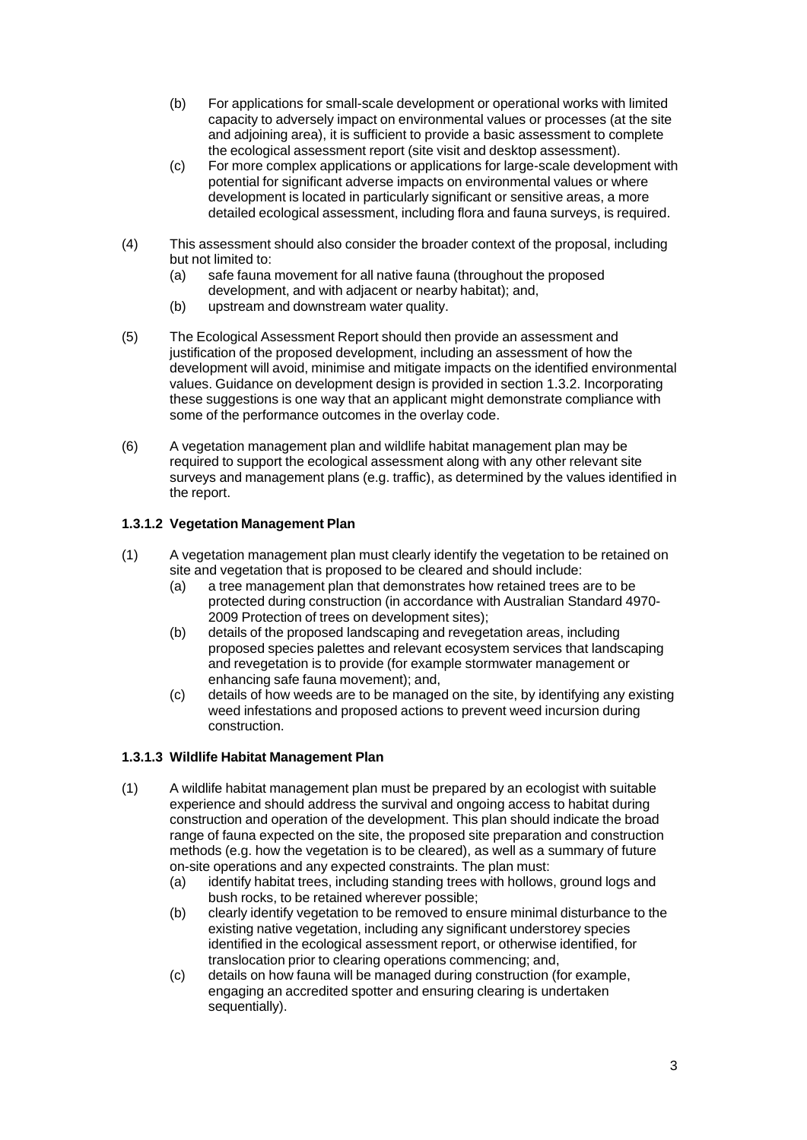- (b) For applications for small-scale development or operational works with limited capacity to adversely impact on environmental values or processes (at the site and adjoining area), it is sufficient to provide a basic assessment to complete the ecological assessment report (site visit and desktop assessment).
- (c) For more complex applications or applications for large-scale development with potential for significant adverse impacts on environmental values or where development is located in particularly significant or sensitive areas, a more detailed ecological assessment, including flora and fauna surveys, is required.
- (4) This assessment should also consider the broader context of the proposal, including but not limited to:
	- (a) safe fauna movement for all native fauna (throughout the proposed development, and with adjacent or nearby habitat); and,
	- (b) upstream and downstream water quality.
- (5) The Ecological Assessment Report should then provide an assessment and justification of the proposed development, including an assessment of how the development will avoid, minimise and mitigate impacts on the identified environmental values. Guidance on development design is provided in section 1.3.2. Incorporating these suggestions is one way that an applicant might demonstrate compliance with some of the performance outcomes in the overlay code.
- (6) A vegetation management plan and wildlife habitat management plan may be required to support the ecological assessment along with any other relevant site surveys and management plans (e.g. traffic), as determined by the values identified in the report.

## **1.3.1.2 Vegetation Management Plan**

- (1) A vegetation management plan must clearly identify the vegetation to be retained on site and vegetation that is proposed to be cleared and should include:
	- (a) a tree management plan that demonstrates how retained trees are to be protected during construction (in accordance with Australian Standard 4970- 2009 Protection of trees on development sites);
	- (b) details of the proposed landscaping and revegetation areas, including proposed species palettes and relevant ecosystem services that landscaping and revegetation is to provide (for example stormwater management or enhancing safe fauna movement); and,
	- (c) details of how weeds are to be managed on the site, by identifying any existing weed infestations and proposed actions to prevent weed incursion during construction.

## **1.3.1.3 Wildlife Habitat Management Plan**

- (1) A wildlife habitat management plan must be prepared by an ecologist with suitable experience and should address the survival and ongoing access to habitat during construction and operation of the development. This plan should indicate the broad range of fauna expected on the site, the proposed site preparation and construction methods (e.g. how the vegetation is to be cleared), as well as a summary of future on-site operations and any expected constraints. The plan must:
	- (a) identify habitat trees, including standing trees with hollows, ground logs and bush rocks, to be retained wherever possible;
	- (b) clearly identify vegetation to be removed to ensure minimal disturbance to the existing native vegetation, including any significant understorey species identified in the ecological assessment report, or otherwise identified, for translocation prior to clearing operations commencing; and,
	- (c) details on how fauna will be managed during construction (for example, engaging an accredited spotter and ensuring clearing is undertaken sequentially).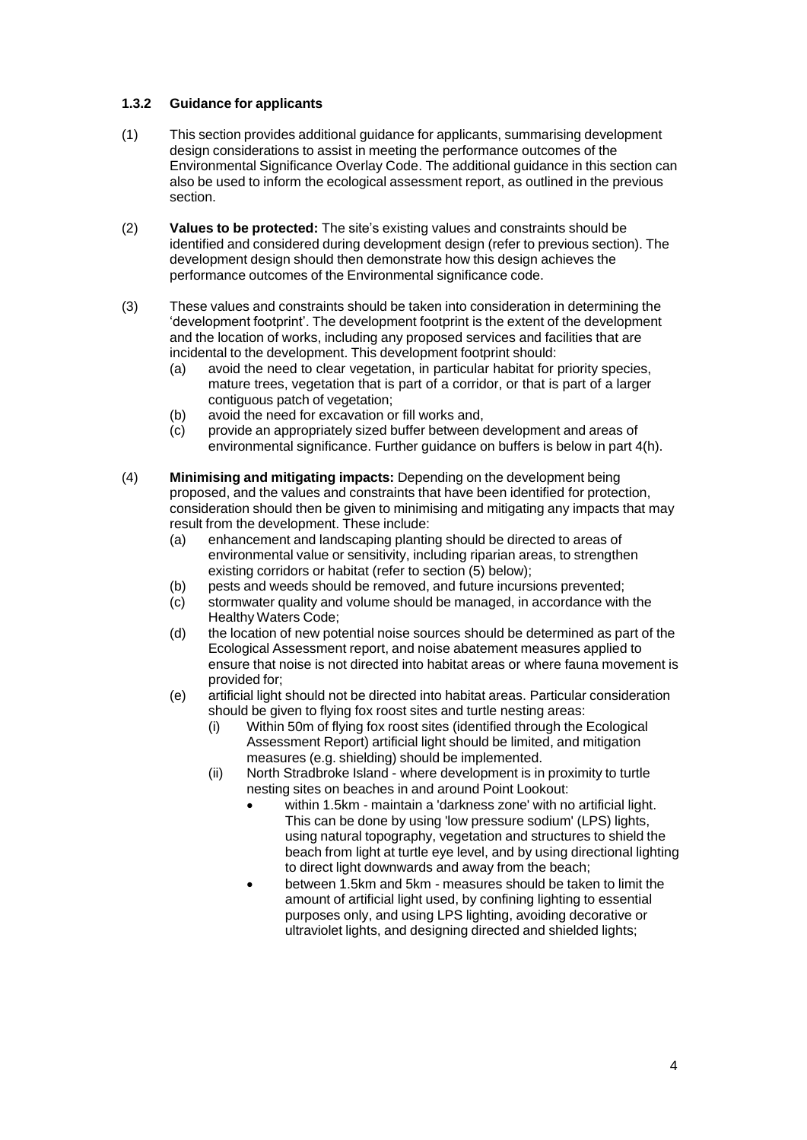## **1.3.2 Guidance for applicants**

- (1) This section provides additional guidance for applicants, summarising development design considerations to assist in meeting the performance outcomes of the Environmental Significance Overlay Code. The additional guidance in this section can also be used to inform the ecological assessment report, as outlined in the previous section.
- (2) **Values to be protected:** The site's existing values and constraints should be identified and considered during development design (refer to previous section). The development design should then demonstrate how this design achieves the performance outcomes of the Environmental significance code.
- (3) These values and constraints should be taken into consideration in determining the 'development footprint'. The development footprint is the extent of the development and the location of works, including any proposed services and facilities that are incidental to the development. This development footprint should:
	- (a) avoid the need to clear vegetation, in particular habitat for priority species, mature trees, vegetation that is part of a corridor, or that is part of a larger contiguous patch of vegetation;
	- (b) avoid the need for excavation or fill works and,
	- (c) provide an appropriately sized buffer between development and areas of environmental significance. Further guidance on buffers is below in part 4(h).
- (4) **Minimising and mitigating impacts:** Depending on the development being proposed, and the values and constraints that have been identified for protection, consideration should then be given to minimising and mitigating any impacts that may result from the development. These include:
	- (a) enhancement and landscaping planting should be directed to areas of environmental value or sensitivity, including riparian areas, to strengthen existing corridors or habitat (refer to section (5) below);
	- (b) pests and weeds should be removed, and future incursions prevented;
	- (c) stormwater quality and volume should be managed, in accordance with the Healthy Waters Code;
	- (d) the location of new potential noise sources should be determined as part of the Ecological Assessment report, and noise abatement measures applied to ensure that noise is not directed into habitat areas or where fauna movement is provided for;
	- (e) artificial light should not be directed into habitat areas. Particular consideration should be given to flying fox roost sites and turtle nesting areas:
		- (i) Within 50m of flying fox roost sites (identified through the Ecological Assessment Report) artificial light should be limited, and mitigation measures (e.g. shielding) should be implemented.
		- (ii) North Stradbroke Island where development is in proximity to turtle nesting sites on beaches in and around Point Lookout:
			- within 1.5km maintain a 'darkness zone' with no artificial light. This can be done by using 'low pressure sodium' (LPS) lights, using natural topography, vegetation and structures to shield the beach from light at turtle eye level, and by using directional lighting to direct light downwards and away from the beach;
			- between 1.5km and 5km measures should be taken to limit the amount of artificial light used, by confining lighting to essential purposes only, and using LPS lighting, avoiding decorative or ultraviolet lights, and designing directed and shielded lights;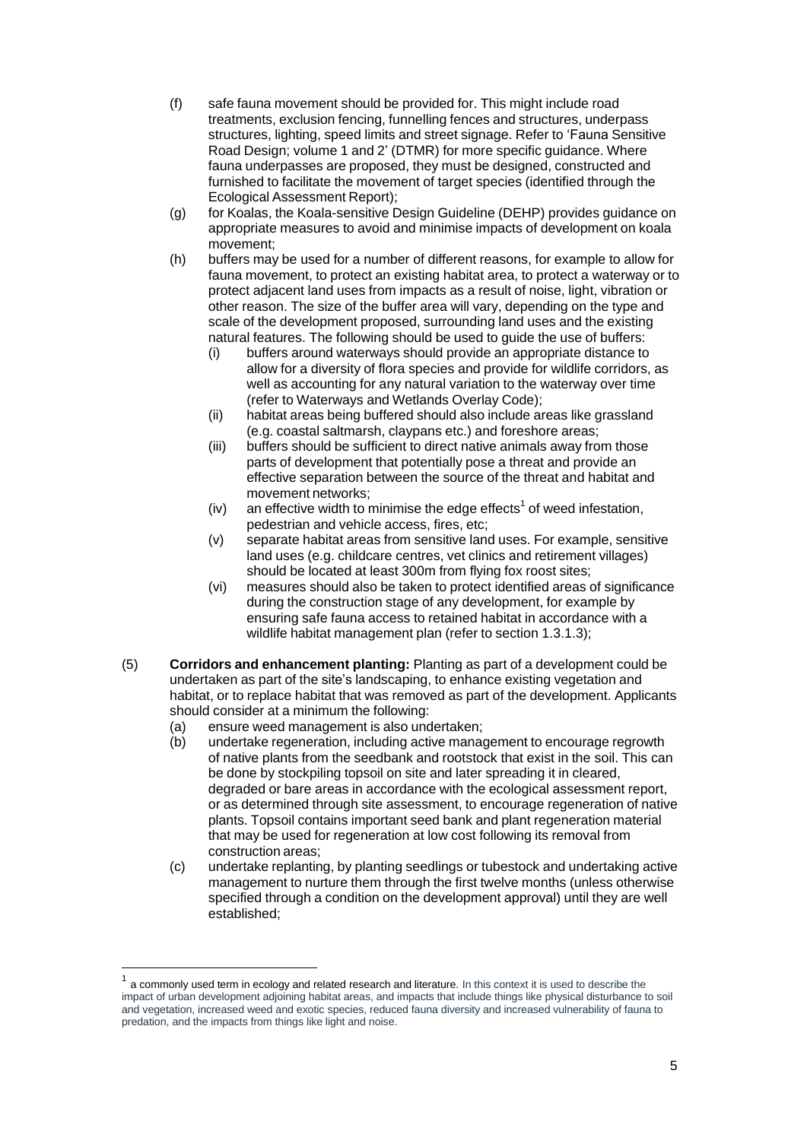- (f) safe fauna movement should be provided for. This might include road treatments, exclusion fencing, funnelling fences and structures, underpass structures, lighting, speed limits and street signage. Refer to 'Fauna Sensitive Road Design; volume 1 and 2' (DTMR) for more specific guidance. Where fauna underpasses are proposed, they must be designed, constructed and furnished to facilitate the movement of target species (identified through the Ecological Assessment Report);
- (g) for Koalas, the Koala-sensitive Design Guideline (DEHP) provides guidance on appropriate measures to avoid and minimise impacts of development on koala movement;
- (h) buffers may be used for a number of different reasons, for example to allow for fauna movement, to protect an existing habitat area, to protect a waterway or to protect adjacent land uses from impacts as a result of noise, light, vibration or other reason. The size of the buffer area will vary, depending on the type and scale of the development proposed, surrounding land uses and the existing natural features. The following should be used to guide the use of buffers:
	- (i) buffers around waterways should provide an appropriate distance to allow for a diversity of flora species and provide for wildlife corridors, as well as accounting for any natural variation to the waterway over time (refer to Waterways and Wetlands Overlay Code);
	- (ii) habitat areas being buffered should also include areas like grassland (e.g. coastal saltmarsh, claypans etc.) and foreshore areas;
	- (iii) buffers should be sufficient to direct native animals away from those parts of development that potentially pose a threat and provide an effective separation between the source of the threat and habitat and movement networks;
	- (iv) an effective width to minimise the edge effects<sup>1</sup> of weed infestation, pedestrian and vehicle access, fires, etc;
	- (v) separate habitat areas from sensitive land uses. For example, sensitive land uses (e.g. childcare centres, vet clinics and retirement villages) should be located at least 300m from flying fox roost sites;
	- (vi) measures should also be taken to protect identified areas of significance during the construction stage of any development, for example by ensuring safe fauna access to retained habitat in accordance with a wildlife habitat management plan (refer to section 1.3.1.3);
- (5) **Corridors and enhancement planting:** Planting as part of a development could be undertaken as part of the site's landscaping, to enhance existing vegetation and habitat, or to replace habitat that was removed as part of the development. Applicants should consider at a minimum the following:
	- (a) ensure weed management is also undertaken;
	- (b) undertake regeneration, including active management to encourage regrowth of native plants from the seedbank and rootstock that exist in the soil. This can be done by stockpiling topsoil on site and later spreading it in cleared, degraded or bare areas in accordance with the ecological assessment report, or as determined through site assessment, to encourage regeneration of native plants. Topsoil contains important seed bank and plant regeneration material that may be used for regeneration at low cost following its removal from construction areas;
	- (c) undertake replanting, by planting seedlings or tubestock and undertaking active management to nurture them through the first twelve months (unless otherwise specified through a condition on the development approval) until they are well established;

<sup>1</sup> a commonly used term in ecology and related research and literature. In this context it is used to describe the impact of urban development adjoining habitat areas, and impacts that include things like physical disturbance to soil and vegetation, increased weed and exotic species, reduced fauna diversity and increased vulnerability of fauna to predation, and the impacts from things like light and noise.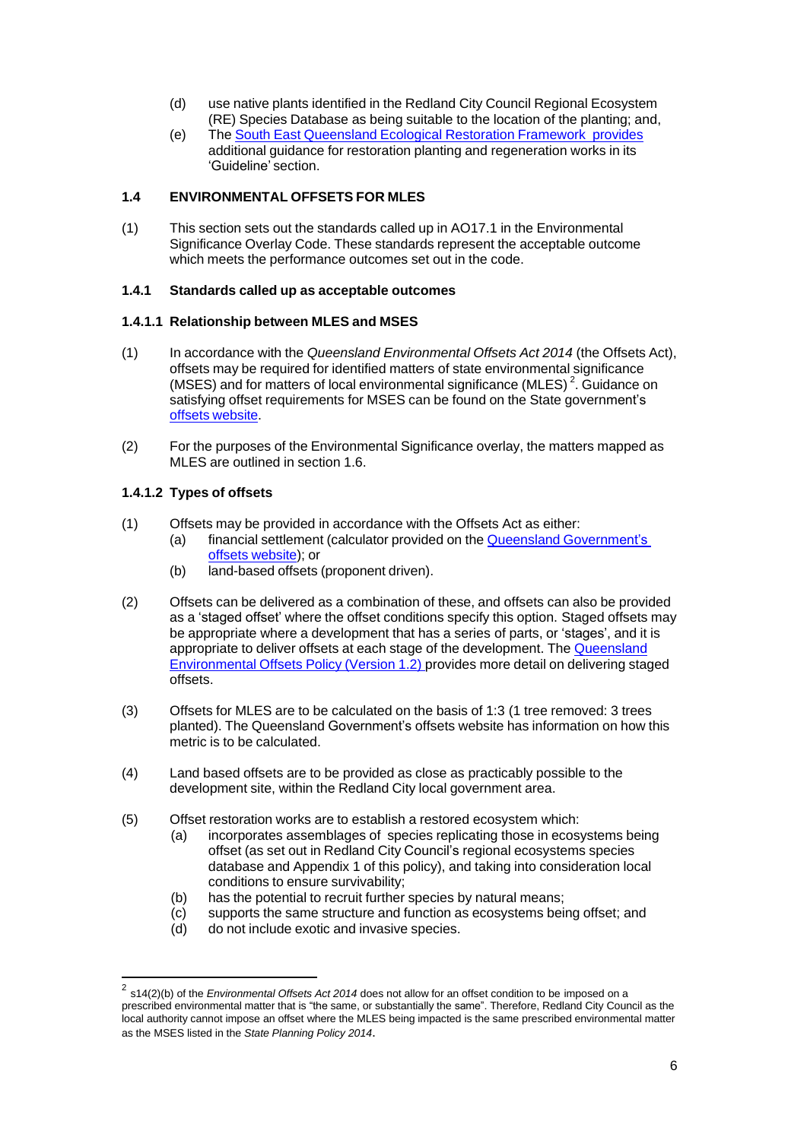- (d) use native plants identified in the Redland City Council Regional Ecosystem (RE) Species Database as being suitable to the location of the planting; and,
- (e) The South East [Queensland](http://www.seqcatchments.com.au/seq-ecological-restoration-framework) Ecological Restoration Framework provides additional guidance for restoration planting and regeneration works in its 'Guideline' section.

## **1.4 ENVIRONMENTAL OFFSETS FOR MLES**

(1) This section sets out the standards called up in AO17.1 in the Environmental Significance Overlay Code. These standards represent the acceptable outcome which meets the performance outcomes set out in the code.

## **1.4.1 Standards called up as acceptable outcomes**

## **1.4.1.1 Relationship between MLES and MSES**

- (1) In accordance with the *Queensland Environmental Offsets Act 2014* (the Offsets Act), offsets may be required for identified matters of state environmental significance (MSES) and for matters of local environmental significance (MLES)<sup>2</sup>. Guidance on satisfying offset requirements for MSES can be found on the State government's offsets [website.](https://www.qld.gov.au/environment/pollution/management/offsets/)
- (2) For the purposes of the Environmental Significance overlay, the matters mapped as MLES are outlined in section 1.6.

## **1.4.1.2 Types of offsets**

- (1) Offsets may be provided in accordance with the Offsets Act as either:
	- (a) financial settlement (calculator provided on the Queensland [Government's](https://environment.ehp.qld.gov.au/offsets-calculator/) offsets [website\)](https://environment.ehp.qld.gov.au/offsets-calculator/); or
		- (b) land-based offsets (proponent driven).
- (2) Offsets can be delivered as a combination of these, and offsets can also be provided as a 'staged offset' where the offset conditions specify this option. Staged offsets may be appropriate where a development that has a series of parts, or 'stages', and it is appropriate to deliver offsets at each stage of the development. The [Queensland](http://www.ehp.qld.gov.au/assets/documents/pollution/management/offsets/offsets-policyv1-1.pdf) [Environmental](http://www.ehp.qld.gov.au/assets/documents/pollution/management/offsets/offsets-policyv1-1.pdf) Offsets Policy (Version 1.2) provides more detail on delivering staged offsets.
- (3) Offsets for MLES are to be calculated on the basis of 1:3 (1 tree removed: 3 trees planted). The Queensland Government's offsets website has information on how this metric is to be calculated.
- (4) Land based offsets are to be provided as close as practicably possible to the development site, within the Redland City local government area.
- (5) Offset restoration works are to establish a restored ecosystem which:
	- (a) incorporates assemblages of species replicating those in ecosystems being offset (as set out in Redland City Council's regional ecosystems species database and Appendix 1 of this policy), and taking into consideration local conditions to ensure survivability;
	- (b) has the potential to recruit further species by natural means;
	- (c) supports the same structure and function as ecosystems being offset; and
	- (d) do not include exotic and invasive species.

<sup>2</sup> s14(2)(b) of the *Environmental Offsets Act 2014* does not allow for an offset condition to be imposed on a prescribed environmental matter that is "the same, or substantially the same". Therefore, Redland City Council as the local authority cannot impose an offset where the MLES being impacted is the same prescribed environmental matter as the MSES listed in the *State Planning Policy 2014*.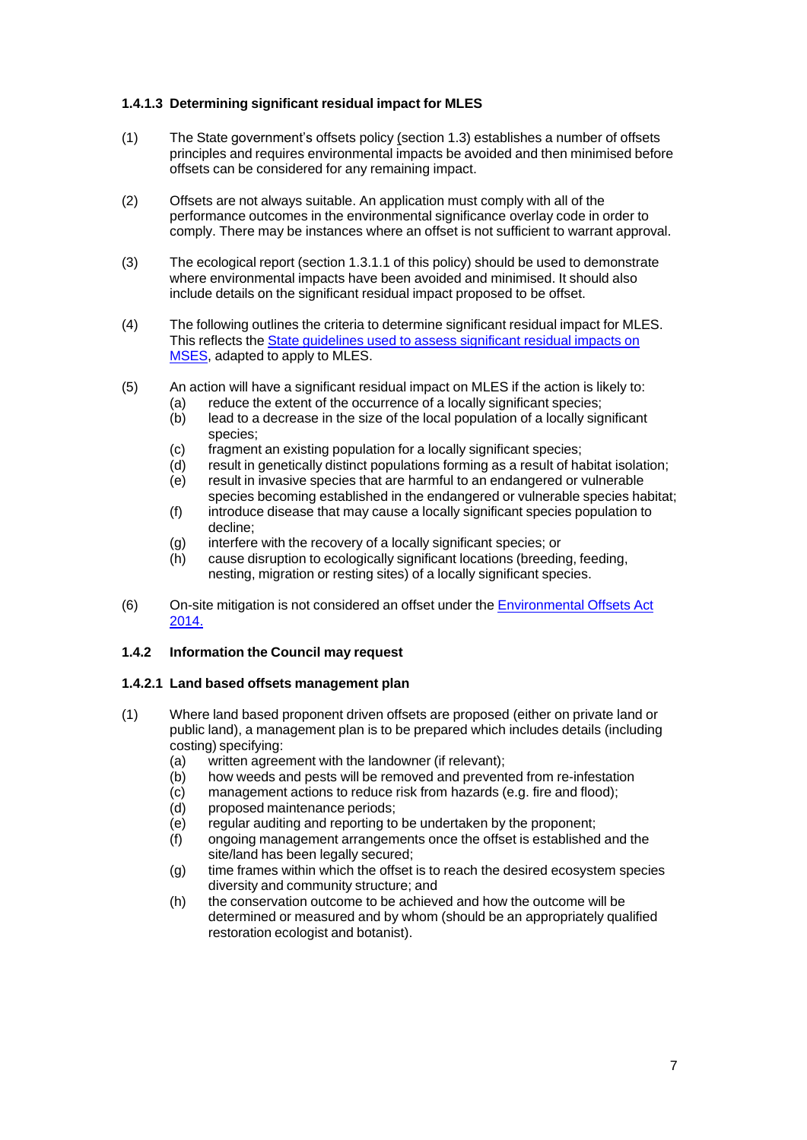## **1.4.1.3 Determining significant residual impact for MLES**

- (1) The State government's offsets policy (section 1.3) establishes a number of offsets principles and requires environmental impacts be avoided and then minimised before offsets can be considered for any remaining impact.
- (2) Offsets are not always suitable. An application must comply with all of the performance outcomes in the environmental significance overlay code in order to comply. There may be instances where an offset is not sufficient to warrant approval.
- (3) The ecological report (section 1.3.1.1 of this policy) should be used to demonstrate where environmental impacts have been avoided and minimised. It should also include details on the significant residual impact proposed to be offset.
- (4) The following outlines the criteria to determine significant residual impact for MLES. This reflects the State [guidelines](http://www.ehp.qld.gov.au/assets/documents/pollution/management/offsets/significant-residual-impact-guide.pdf) used to assess significant residual impacts on [MSES,](http://www.ehp.qld.gov.au/assets/documents/pollution/management/offsets/significant-residual-impact-guide.pdf) adapted to apply to MLES.
- (5) An action will have a significant residual impact on MLES if the action is likely to:
	- (a) reduce the extent of the occurrence of a locally significant species;
	- (b) lead to a decrease in the size of the local population of a locally significant species;
	- (c) fragment an existing population for a locally significant species;
	- (d) result in genetically distinct populations forming as a result of habitat isolation;
	- (e) result in invasive species that are harmful to an endangered or vulnerable species becoming established in the endangered or vulnerable species habitat;
	- (f) introduce disease that may cause a locally significant species population to decline;
	- (g) interfere with the recovery of a locally significant species; or
	- (h) cause disruption to ecologically significant locations (breeding, feeding, nesting, migration or resting sites) of a locally significant species.
- (6) On-site mitigation is not considered an offset under the [Environmental](https://www.legislation.qld.gov.au/LEGISLTN/CURRENT/E/EnvironOffsetsA14.pdf) Offsets Act [2014.](https://www.legislation.qld.gov.au/LEGISLTN/CURRENT/E/EnvironOffsetsA14.pdf)

#### **1.4.2 Information the Council may request**

#### **1.4.2.1 Land based offsets management plan**

- (1) Where land based proponent driven offsets are proposed (either on private land or public land), a management plan is to be prepared which includes details (including costing) specifying:
	- (a) written agreement with the landowner (if relevant);
	- (b) how weeds and pests will be removed and prevented from re-infestation
	- (c) management actions to reduce risk from hazards (e.g. fire and flood);
	- (d) proposed maintenance periods;
	- (e) regular auditing and reporting to be undertaken by the proponent;
	- (f) ongoing management arrangements once the offset is established and the site/land has been legally secured;
	- (g) time frames within which the offset is to reach the desired ecosystem species diversity and community structure; and
	- (h) the conservation outcome to be achieved and how the outcome will be determined or measured and by whom (should be an appropriately qualified restoration ecologist and botanist).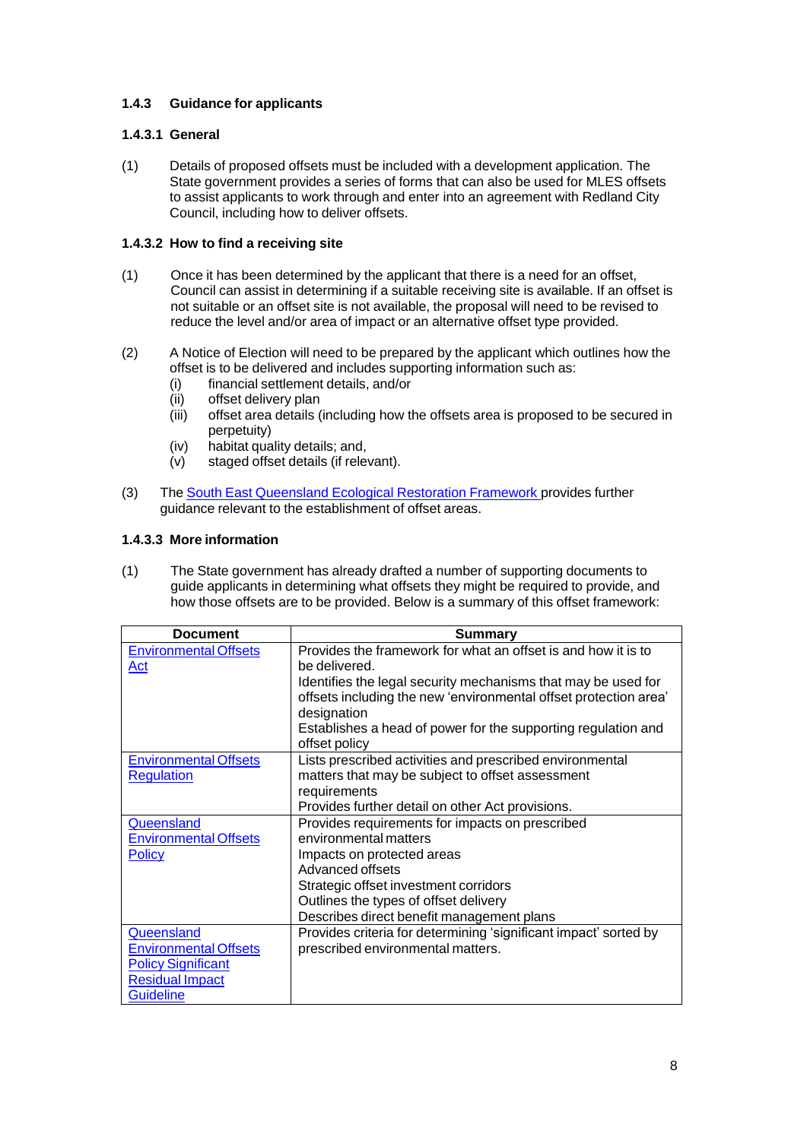## **1.4.3 Guidance for applicants**

## **1.4.3.1 General**

(1) Details of proposed offsets must be included with a development application. The State government provides a series of forms that can also be used for MLES offsets to assist applicants to work through and enter into an agreement with Redland City Council, including how to deliver offsets.

## **1.4.3.2 How to find a receiving site**

- (1) Once it has been determined by the applicant that there is a need for an offset, Council can assist in determining if a suitable receiving site is available. If an offset is not suitable or an offset site is not available, the proposal will need to be revised to reduce the level and/or area of impact or an alternative offset type provided.
- (2) A Notice of Election will need to be prepared by the applicant which outlines how the offset is to be delivered and includes supporting information such as:
	- (i) financial settlement details, and/or
	- (ii) offset delivery plan
	- (iii) offset area details (including how the offsets area is proposed to be secured in perpetuity)
	- (iv) habitat quality details; and,
	- (v) staged offset details (if relevant).
- (3) The South East [Queensland](http://www.seqcatchments.com.au/seq-ecological-restoration-framework) Ecological Restoration Framework provides further guidance relevant to the establishment of offset areas.

## **1.4.3.3 More information**

(1) The State government has already drafted a number of supporting documents to guide applicants in determining what offsets they might be required to provide, and how those offsets are to be provided. Below is a summary of this offset framework:

| <b>Document</b>                                                                                                       | <b>Summary</b>                                                                                                                                                                                                                                            |
|-----------------------------------------------------------------------------------------------------------------------|-----------------------------------------------------------------------------------------------------------------------------------------------------------------------------------------------------------------------------------------------------------|
| <b>Environmental Offsets</b><br>Act                                                                                   | Provides the framework for what an offset is and how it is to<br>be delivered.<br>Identifies the legal security mechanisms that may be used for<br>offsets including the new 'environmental offset protection area'                                       |
|                                                                                                                       | designation<br>Establishes a head of power for the supporting regulation and<br>offset policy                                                                                                                                                             |
| <b>Environmental Offsets</b><br><b>Regulation</b>                                                                     | Lists prescribed activities and prescribed environmental<br>matters that may be subject to offset assessment<br>requirements<br>Provides further detail on other Act provisions.                                                                          |
| Queensland<br><b>Environmental Offsets</b><br><b>Policy</b>                                                           | Provides requirements for impacts on prescribed<br>environmental matters<br>Impacts on protected areas<br>Advanced offsets<br>Strategic offset investment corridors<br>Outlines the types of offset delivery<br>Describes direct benefit management plans |
| Queensland<br><b>Environmental Offsets</b><br><b>Policy Significant</b><br><b>Residual Impact</b><br><b>Guideline</b> | Provides criteria for determining 'significant impact' sorted by<br>prescribed environmental matters.                                                                                                                                                     |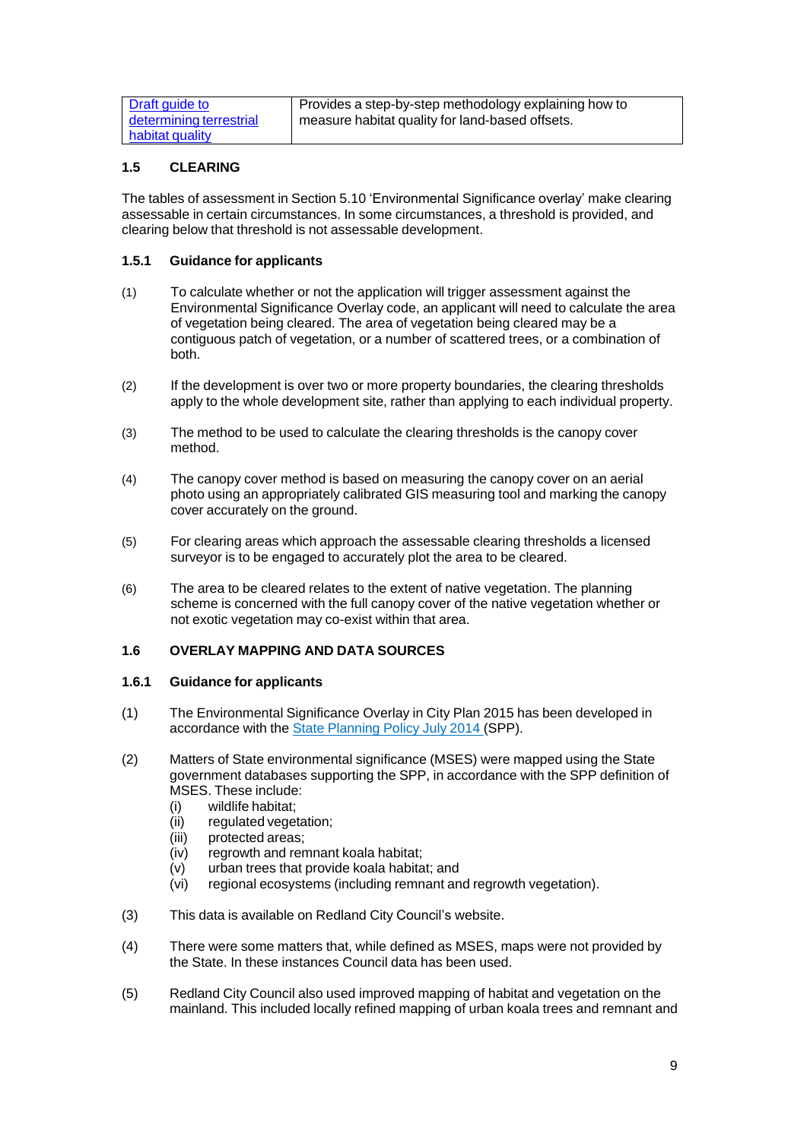| Draft guide to          | Provides a step-by-step methodology explaining how to        |
|-------------------------|--------------------------------------------------------------|
| determining terrestrial | <sup>1</sup> measure habitat quality for land-based offsets. |
| habitat quality         |                                                              |

## **1.5 CLEARING**

The tables of assessment in Section 5.10 'Environmental Significance overlay' make clearing assessable in certain circumstances. In some circumstances, a threshold is provided, and clearing below that threshold is not assessable development.

#### **1.5.1 Guidance for applicants**

- (1) To calculate whether or not the application will trigger assessment against the Environmental Significance Overlay code, an applicant will need to calculate the area of vegetation being cleared. The area of vegetation being cleared may be a contiguous patch of vegetation, or a number of scattered trees, or a combination of both.
- (2) If the development is over two or more property boundaries, the clearing thresholds apply to the whole development site, rather than applying to each individual property.
- (3) The method to be used to calculate the clearing thresholds is the canopy cover method.
- (4) The canopy cover method is based on measuring the canopy cover on an aerial photo using an appropriately calibrated GIS measuring tool and marking the canopy cover accurately on the ground.
- (5) For clearing areas which approach the assessable clearing thresholds a licensed surveyor is to be engaged to accurately plot the area to be cleared.
- (6) The area to be cleared relates to the extent of native vegetation. The planning scheme is concerned with the full canopy cover of the native vegetation whether or not exotic vegetation may co-exist within that area.

#### **1.6 OVERLAY MAPPING AND DATA SOURCES**

#### **1.6.1 Guidance for applicants**

- (1) The Environmental Significance Overlay in City Plan 2015 has been developed in accordance with the **State [Planning](http://www.dlg.qld.gov.au/resources/policy/state-planning/state-planning-policy-jul-2014.pdf) Policy July 2014 (SPP)**.
- (2) Matters of State environmental significance (MSES) were mapped using the State government databases supporting the SPP, in accordance with the SPP definition of MSES. These include:
	- (i) wildlife habitat;
	- (ii) regulated vegetation;
	- (iii) protected areas;
	- (iv) regrowth and remnant koala habitat;
	- (v) urban trees that provide koala habitat; and
	- (vi) regional ecosystems (including remnant and regrowth vegetation).
- (3) This data is available on Redland City Council's website.
- (4) There were some matters that, while defined as MSES, maps were not provided by the State. In these instances Council data has been used.
- (5) Redland City Council also used improved mapping of habitat and vegetation on the mainland. This included locally refined mapping of urban koala trees and remnant and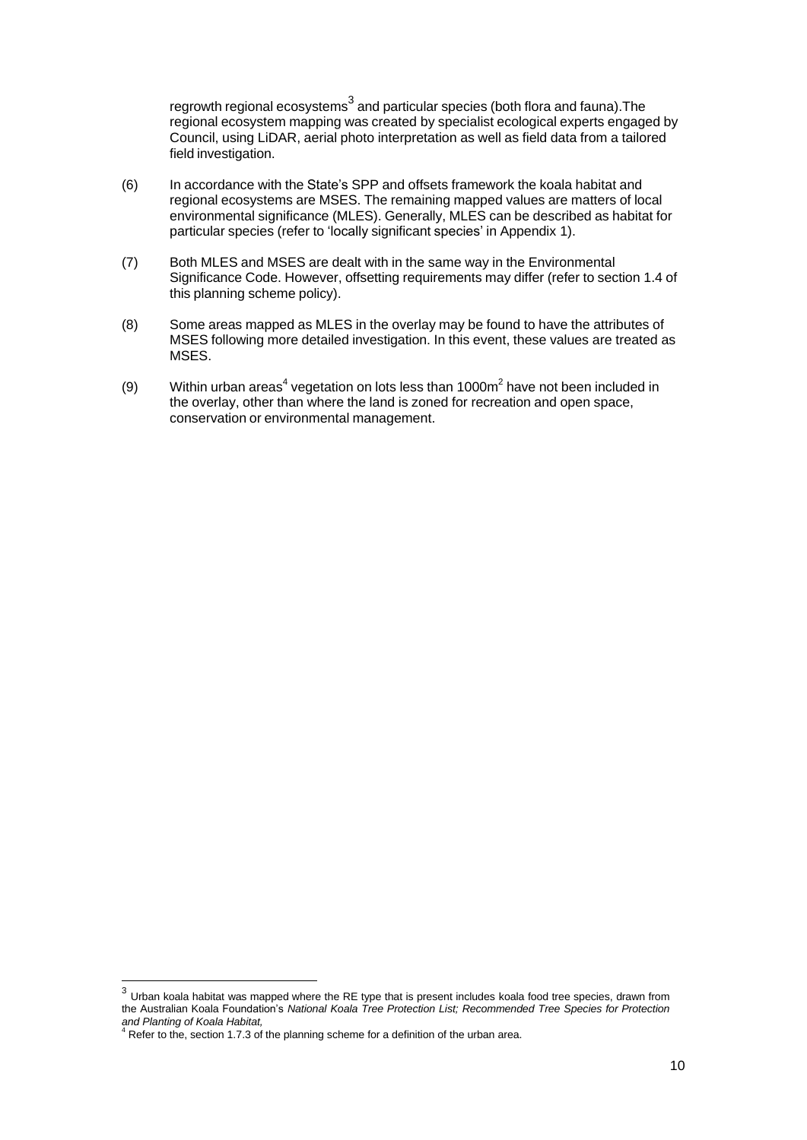regrowth regional ecosystems $^3$  and particular species (both flora and fauna).The regional ecosystem mapping was created by specialist ecological experts engaged by Council, using LiDAR, aerial photo interpretation as well as field data from a tailored field investigation.

- (6) In accordance with the State's SPP and offsets framework the koala habitat and regional ecosystems are MSES. The remaining mapped values are matters of local environmental significance (MLES). Generally, MLES can be described as habitat for particular species (refer to 'locally significant species' in Appendix 1).
- (7) Both MLES and MSES are dealt with in the same way in the Environmental Significance Code. However, offsetting requirements may differ (refer to section 1.4 of this planning scheme policy).
- (8) Some areas mapped as MLES in the overlay may be found to have the attributes of MSES following more detailed investigation. In this event, these values are treated as MSES.
- (9) Within urban areas<sup>4</sup> vegetation on lots less than 1000m<sup>2</sup> have not been included in the overlay, other than where the land is zoned for recreation and open space, conservation or environmental management.

 $^3$  Urban koala habitat was mapped where the RE type that is present includes koala food tree species, drawn from the Australian Koala Foundation's *National Koala Tree Protection List; Recommended Tree Species for Protection*

*and Planting of Koala Habitat,* <sup>4</sup> Refer to the, section 1.7.3 of the planning scheme for a definition of the urban area.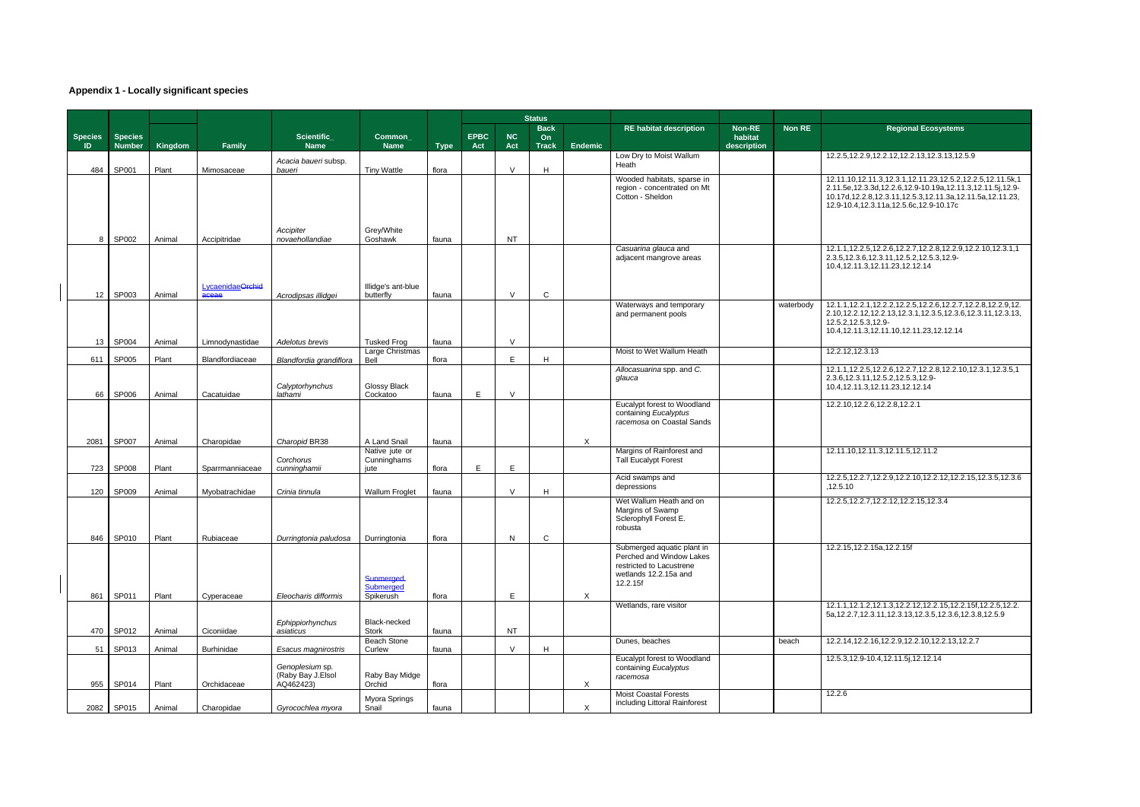# **Appendix 1 - Locally significant species**

|                      |                                 |         |                           |                                                             |                                            |             |                    |                  | <b>Status</b>                            |                           |                                                                                           |                                         |               |                                                                                                                                                                                                                                          |
|----------------------|---------------------------------|---------|---------------------------|-------------------------------------------------------------|--------------------------------------------|-------------|--------------------|------------------|------------------------------------------|---------------------------|-------------------------------------------------------------------------------------------|-----------------------------------------|---------------|------------------------------------------------------------------------------------------------------------------------------------------------------------------------------------------------------------------------------------------|
| <b>Species</b><br>ID | <b>Species</b><br><b>Number</b> | Kingdom | Family                    | Scientific_<br><b>Name</b>                                  | <b>Common</b><br><b>Name</b>               | <b>Type</b> | <b>EPBC</b><br>Act | <b>NC</b><br>Act | <b>Back</b><br><b>On</b><br><b>Track</b> | Endemic                   | <b>RE habitat description</b>                                                             | <b>Non-RE</b><br>habitat<br>description | <b>Non RE</b> | <b>Regional Ecosystems</b>                                                                                                                                                                                                               |
| 484                  | SP001                           | Plant   | Mimosaceae                | Acacia baueri subsp.<br>baueri                              | <b>Tiny Wattle</b>                         | flora       |                    | $\vee$           | H                                        |                           | Low Dry to Moist Wallum<br>Heath                                                          |                                         |               | 12.2.5, 12.2.9, 12.2.12, 12.2.13, 12.3.13, 12.5.9                                                                                                                                                                                        |
|                      |                                 |         |                           |                                                             | Grey/White                                 |             |                    |                  |                                          |                           | Wooded habitats, sparse in<br>region - concentrated on Mt<br>Cotton - Sheldon             |                                         |               | 12.11.10,12.11.3,12.3.1,12.11.23,12.5.2,12.2.5,12.11.5k,1<br>2.11.5e, 12.3.3d, 12.2.6, 12.9-10.19a, 12.11.3, 12.11.5j, 12.9-<br>10.17d, 12.2.8, 12.3.11, 12.5.3, 12.11.3a, 12.11.5a, 12.11.23,<br>12.9-10.4,12.3.11a,12.5.6c,12.9-10.17c |
| 8                    | SP002                           | Animal  | Accipitridae              | Accipiter<br>novaehollandiae                                | Goshawk                                    | fauna       |                    | <b>NT</b>        |                                          |                           |                                                                                           |                                         |               |                                                                                                                                                                                                                                          |
| 12 <sup>12</sup>     | SP003                           | Animal  | LycaenidaeOrchid<br>aceae | Acrodipsas illidgei                                         | Illidge's ant-blue<br>butterfly            | fauna       |                    | $\mathsf{V}$     | $\mathsf{C}$                             |                           | Casuarina glauca and<br>adjacent mangrove areas                                           |                                         |               | 12.1.1, 12.2.5, 12.2.6, 12.2.7, 12.2.8, 12.2.9, 12.2.10, 12.3.1, 1<br>2.3.5, 12.3.6, 12.3.11, 12.5.2, 12.5.3, 12.9-<br>10.4, 12.11.3, 12.11.23, 12.12.14                                                                                 |
|                      |                                 |         |                           |                                                             |                                            |             |                    |                  |                                          |                           | Waterways and temporary                                                                   |                                         | waterbody     | 12.1.1, 12.2.1, 12.2.2, 12.2.5, 12.2.6, 12.2.7, 12.2.8, 12.2.9, 12.                                                                                                                                                                      |
| 13 <sup>1</sup>      | SP004                           | Animal  | Limnodynastidae           | Adelotus brevis                                             | <b>Tusked Frog</b>                         | fauna       |                    | $\vee$           |                                          |                           | and permanent pools                                                                       |                                         |               | 2.10, 12.2.12, 12.2.13, 12.3.1, 12.3.5, 12.3.6, 12.3.11, 12.3.13,<br>12.5.2, 12.5.3, 12.9-<br>10.4, 12.11.3, 12.11.10, 12.11.23, 12.12.14                                                                                                |
|                      |                                 |         |                           |                                                             | Large Christmas                            |             |                    |                  |                                          |                           | Moist to Wet Wallum Heath                                                                 |                                         |               | 12.2.12,12.3.13                                                                                                                                                                                                                          |
| 611                  | SP005                           | Plant   | Blandfordiaceae           | Blandfordia grandiflora                                     | Bell                                       | flora       |                    | E                | H                                        |                           | Allocasuarina spp. and C.                                                                 |                                         |               | 12.1.1, 12.2.5, 12.2.6, 12.2.7, 12.2.8, 12.2.10, 12.3.1, 12.3.5, 1                                                                                                                                                                       |
| 66                   | SP006                           | Animal  | Cacatuidae                | Calyptorhynchus<br>lathami                                  | Glossy Black<br>Cockatoo                   | fauna       | E                  | $\vee$           |                                          |                           | glauca                                                                                    |                                         |               | 2.3.6, 12.3.11, 12.5.2, 12.5.3, 12.9-<br>10.4, 12.11.3, 12.11.23, 12.12.14                                                                                                                                                               |
|                      |                                 |         |                           |                                                             |                                            |             |                    |                  |                                          |                           | Eucalypt forest to Woodland<br>containing Eucalyptus<br>racemosa on Coastal Sands         |                                         |               | 12.2.10, 12.2.6, 12.2.8, 12.2.1                                                                                                                                                                                                          |
| 2081                 | SP007                           | Animal  | Charopidae                | Charopid BR38                                               | A Land Snail                               | fauna       |                    |                  |                                          | $\times$                  |                                                                                           |                                         |               |                                                                                                                                                                                                                                          |
| 723                  | SP008                           | Plant   | Sparrmanniaceae           | Corchorus<br>cunninghamii                                   | Native jute or<br>Cunninghams<br>jute      | flora       | E                  | E                |                                          |                           | Margins of Rainforest and<br><b>Tall Eucalypt Forest</b>                                  |                                         |               | 12.11.10,12.11.3,12.11.5,12.11.2                                                                                                                                                                                                         |
| 120                  | SP009                           | Animal  | Myobatrachidae            | Crinia tinnula                                              | <b>Wallum Froglet</b>                      | fauna       |                    | $\vee$           | H                                        |                           | Acid swamps and<br>depressions                                                            |                                         |               | 12.2.5, 12.2.7, 12.2.9, 12.2.10, 12.2.12, 12.2.15, 12.3.5, 12.3.6<br>.12.5.10                                                                                                                                                            |
|                      |                                 |         |                           |                                                             |                                            |             |                    |                  |                                          |                           | Wet Wallum Heath and on<br>Margins of Swamp<br>Sclerophyll Forest E.<br>robusta           |                                         |               | 12.2.5, 12.2.7, 12.2.12, 12.2.15, 12.3.4                                                                                                                                                                                                 |
|                      | 846 SP010                       | Plant   | Rubiaceae                 | Durringtonia paludosa   Durringtonia                        |                                            | flora       |                    | N                | C                                        |                           | Submerged aquatic plant in                                                                |                                         |               | 12.2.15, 12.2.15a, 12.2.15f                                                                                                                                                                                                              |
| 861                  | SP011                           | Plant   | Cyperaceae                | Eleocharis difformis                                        | <b>Sunmerged</b><br>Submerged<br>Spikerush | flora       |                    | E                |                                          | $\boldsymbol{\mathsf{X}}$ | Perched and Window Lakes<br>restricted to Lacustrene<br>wetlands 12.2.15a and<br>12.2.15f |                                         |               |                                                                                                                                                                                                                                          |
|                      |                                 |         |                           |                                                             |                                            |             |                    |                  |                                          |                           | Wetlands, rare visitor                                                                    |                                         |               | 12.1.1, 12.1.2, 12.1.3, 12.2.12, 12.2.15, 12.2.15f, 12.2.5, 12.2.                                                                                                                                                                        |
|                      | 470 SP012                       | Animal  | Ciconiidae                | Ephippiorhynchus<br>asiaticus                               | Black-necked<br>Stork                      | fauna       |                    | <b>NT</b>        |                                          |                           |                                                                                           |                                         |               | 5a, 12.2.7, 12.3.11, 12.3.13, 12.3.5, 12.3.6, 12.3.8, 12.5.9                                                                                                                                                                             |
|                      |                                 |         |                           |                                                             | <b>Beach Stone</b>                         |             |                    |                  |                                          |                           | Dunes, beaches                                                                            |                                         | beach         | 12.2.14, 12.2.16, 12.2.9, 12.2.10, 12.2.13, 12.2.7                                                                                                                                                                                       |
|                      | 51 SP013                        | Animal  | Burhinidae                | Esacus magnirostris<br>Genoplesium sp.<br>(Raby Bay J.Elsol | Curlew<br>Raby Bay Midge                   | fauna       |                    | $\vee$           | H                                        |                           | Eucalypt forest to Woodland<br>containing Eucalyptus                                      |                                         |               | 12.5.3, 12.9-10.4, 12.11.5 j, 12.12.14                                                                                                                                                                                                   |
|                      | 955 SP014                       | Plant   | Orchidaceae               | AQ462423)                                                   | Orchid                                     | flora       |                    |                  |                                          | X                         | racemosa                                                                                  |                                         |               |                                                                                                                                                                                                                                          |
| 2082                 | SP015                           | Animal  | Charopidae                | Gyrocochlea myora                                           | Myora Springs<br>Snail                     | fauna       |                    |                  |                                          | X                         | <b>Moist Coastal Forests</b><br>including Littoral Rainforest                             |                                         |               | 12.2.6                                                                                                                                                                                                                                   |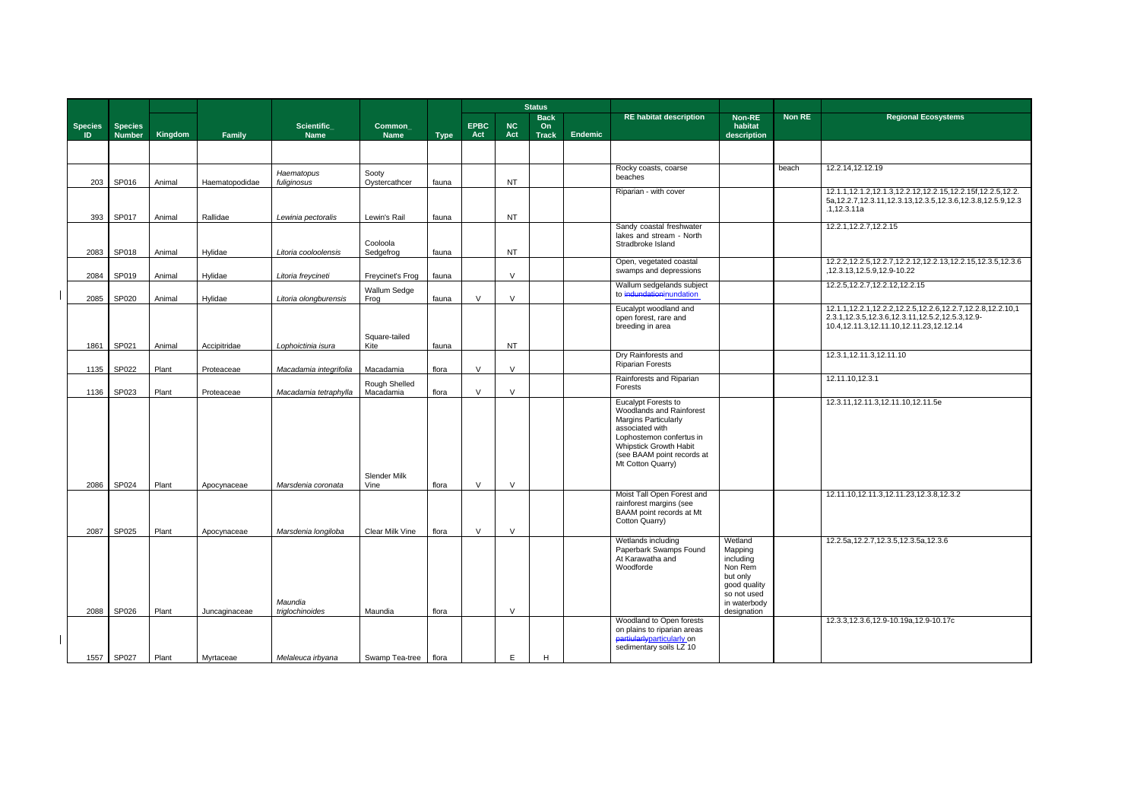| <b>Non RE</b> | <b>Regional Ecosystems</b>                                                                                                                                                 |
|---------------|----------------------------------------------------------------------------------------------------------------------------------------------------------------------------|
|               |                                                                                                                                                                            |
| each          | 12.2.14,12.12.19                                                                                                                                                           |
|               | 12.1.1, 12.1.2, 12.1.3, 12.2.12, 12.2.15, 12.2.15f, 12.2.5, 12.2.<br>5a, 12.2.7, 12.3.11, 12.3.13, 12.3.5, 12.3.6, 12.3.8, 12.5.9, 12.3<br>.1,12.3.11a                     |
|               | 12.2.1, 12.2.7, 12.2.15                                                                                                                                                    |
|               | 12.2.2, 12.2.5, 12.2.7, 12.2.12, 12.2.13, 12.2.15, 12.3.5, 12.3.6<br>,12.3.13,12.5.9,12.9-10.22                                                                            |
|               | 12.2.5, 12.2.7, 12.2.12, 12.2.15                                                                                                                                           |
|               | 12.1.1, 12.2.1, 12.2.2, 12.2.5, 12.2.6, 12.2.7, 12.2.8, 12.2.10, 1<br>2.3.1, 12.3.5, 12.3.6, 12.3.11, 12.5.2, 12.5.3, 12.9-<br>10.4, 12.11.3, 12.11.10, 12.11.23, 12.12.14 |
|               | 12.3.1, 12.11.3, 12.11.10                                                                                                                                                  |
|               | 12.11.10,12.3.1                                                                                                                                                            |
|               | 12.3.11,12.11.3,12.11.10,12.11.5e                                                                                                                                          |
|               | 12.11.10,12.11.3,12.11.23,12.3.8,12.3.2                                                                                                                                    |
|               | 12.2.5a, 12.2.7, 12.3.5, 12.3.5a, 12.3.6                                                                                                                                   |
|               | 12.3.3, 12.3.6, 12.9-10.19a, 12.9-10.17c                                                                                                                                   |

|                      |                                 |                 |                            |                                              |                            |                |                    |                  | <b>Status</b>                     |                |                                                                                                                                                                                                     |                                                                                                                      |        |                                                                                                                                                                        |
|----------------------|---------------------------------|-----------------|----------------------------|----------------------------------------------|----------------------------|----------------|--------------------|------------------|-----------------------------------|----------------|-----------------------------------------------------------------------------------------------------------------------------------------------------------------------------------------------------|----------------------------------------------------------------------------------------------------------------------|--------|------------------------------------------------------------------------------------------------------------------------------------------------------------------------|
| <b>Species</b><br>ID | <b>Species</b><br><b>Number</b> | Kingdom         | Family                     | Scientific_<br><b>Name</b>                   | Common_<br><b>Name</b>     | <b>Type</b>    | <b>EPBC</b><br>Act | <b>NC</b><br>Act | <b>Back</b><br>On<br><b>Track</b> | <b>Endemic</b> | <b>RE</b> habitat description                                                                                                                                                                       | Non-RE<br>habitat<br>description                                                                                     | Non RE | <b>Regional Ecosystems</b>                                                                                                                                             |
|                      |                                 |                 |                            |                                              |                            |                |                    |                  |                                   |                |                                                                                                                                                                                                     |                                                                                                                      |        |                                                                                                                                                                        |
| 203                  | SP016                           | Animal          | Haematopodidae             | Haematopus<br>fuliginosus                    | Sooty<br>Oystercathcer     | fauna          |                    | <b>NT</b>        |                                   |                | Rocky coasts, coarse<br>beaches                                                                                                                                                                     |                                                                                                                      | beach  | 12.2.14,12.12.19                                                                                                                                                       |
| 393                  | SP017                           | Animal          | Rallidae                   | Lewinia pectoralis                           | Lewin's Rail               | fauna          |                    | <b>NT</b>        |                                   |                | Riparian - with cover                                                                                                                                                                               |                                                                                                                      |        | 12.1.1, 12.1.2, 12.1.3, 12.2.12, 12.2.15, 12.2.15f, 12.2.5, 12.2.<br>5a, 12.2.7, 12.3.11, 12.3.13, 12.3.5, 12.3.6, 12.3.8, 12.5.9, 12.<br>.1,12.3.11a                  |
| 2083                 | SP018                           | Animal          | Hylidae                    | Litoria cooloolensis                         | Cooloola<br>Sedgefrog      | fauna          |                    | <b>NT</b>        |                                   |                | Sandy coastal freshwater<br>lakes and stream - North<br>Stradbroke Island                                                                                                                           |                                                                                                                      |        | 12.2.1, 12.2.7, 12.2.15                                                                                                                                                |
| 2084                 | SP019                           | Animal          | Hylidae                    | Litoria freycineti                           | Freycinet's Frog           | fauna          |                    | $\vee$           |                                   |                | Open, vegetated coastal<br>swamps and depressions                                                                                                                                                   |                                                                                                                      |        | 12.2.2, 12.2.5, 12.2.7, 12.2.12, 12.2.13, 12.2.15, 12.3.5, 12.3.6<br>,12.3.13,12.5.9,12.9-10.22                                                                        |
| 2085                 | SP020                           | Animal          | Hylidae                    | Litoria olongburensis                        | Wallum Sedge<br>Frog       | fauna          | $\vee$             | $\vee$           |                                   |                | Wallum sedgelands subject<br>to indundationinundation                                                                                                                                               |                                                                                                                      |        | 12.2.5, 12.2.7, 12.2.12, 12.2.15                                                                                                                                       |
|                      |                                 |                 |                            |                                              | Square-tailed              |                |                    |                  |                                   |                | Eucalypt woodland and<br>open forest, rare and<br>breeding in area                                                                                                                                  |                                                                                                                      |        | 12.1.1, 12.2.1, 12.2.2, 12.2.5, 12.2.6, 12.2.7, 12.2.8, 12.2.10, 1<br>2.3.1, 12.3.5, 12.3.6, 12.3.11, 12.5.2, 12.5.3, 12.9-<br>10.4,12.11.3,12.11.10,12.11.23,12.12.14 |
| 1861<br>1135         | SP021<br>SP022                  | Animal<br>Plant | Accipitridae<br>Proteaceae | Lophoictinia isura<br>Macadamia integrifolia | Kite<br>Macadamia          | fauna<br>flora | $\vee$             | <b>NT</b><br>V   |                                   |                | Dry Rainforests and<br><b>Riparian Forests</b>                                                                                                                                                      |                                                                                                                      |        | 12.3.1, 12.11.3, 12.11.10                                                                                                                                              |
| 1136                 | SP023                           | Plant           | Proteaceae                 | Macadamia tetraphylla                        | Rough Shelled<br>Macadamia | flora          | $\vee$             | V                |                                   |                | Rainforests and Riparian<br>Forests                                                                                                                                                                 |                                                                                                                      |        | 12.11.10,12.3.1                                                                                                                                                        |
|                      |                                 |                 |                            |                                              |                            |                |                    |                  |                                   |                | Eucalypt Forests to<br>Woodlands and Rainforest<br>Margins Particularly<br>associated with<br>Lophostemon confertus in<br>Whipstick Growth Habit<br>(see BAAM point records at<br>Mt Cotton Quarry) |                                                                                                                      |        | 12.3.11,12.11.3,12.11.10,12.11.5e                                                                                                                                      |
| 2086                 | SP024                           | Plant           | Apocynaceae                | Marsdenia coronata                           | Slender Milk<br>Vine       | flora          | $\vee$             | $\vee$           |                                   |                |                                                                                                                                                                                                     |                                                                                                                      |        |                                                                                                                                                                        |
| 2087                 | SP025                           | Plant           | Apocynaceae                | Marsdenia longiloba                          | Clear Milk Vine            | flora          |                    | V                |                                   |                | Moist Tall Open Forest and<br>rainforest margins (see<br>BAAM point records at Mt<br>Cotton Quarry)                                                                                                 |                                                                                                                      |        | 12.11.10,12.11.3,12.11.23,12.3.8,12.3.2                                                                                                                                |
| 2088                 | SP026                           | Plant           | Juncaginaceae              | Maundia<br>triglochinoides                   | Maundia                    | flora          |                    | $\vee$           |                                   |                | Wetlands including<br>Paperbark Swamps Found<br>At Karawatha and<br>Woodforde                                                                                                                       | Wetland<br>Mapping<br>including<br>Non Rem<br>but only<br>good quality<br>so not used<br>in waterbody<br>designation |        | 12.2.5a, 12.2.7, 12.3.5, 12.3.5a, 12.3.6                                                                                                                               |
|                      |                                 |                 |                            |                                              |                            |                |                    |                  |                                   |                | Woodland to Open forests<br>on plains to riparian areas<br>partiularlyparticularly on<br>sedimentary soils LZ 10                                                                                    |                                                                                                                      |        | 12.3.3, 12.3.6, 12.9-10.19a, 12.9-10.17c                                                                                                                               |
|                      | 1557 SP027                      | Plant           | Myrtaceae                  | Melaleuca irbyana                            | Swamp Tea-tree             | flora          |                    | E.               | н                                 |                |                                                                                                                                                                                                     |                                                                                                                      |        |                                                                                                                                                                        |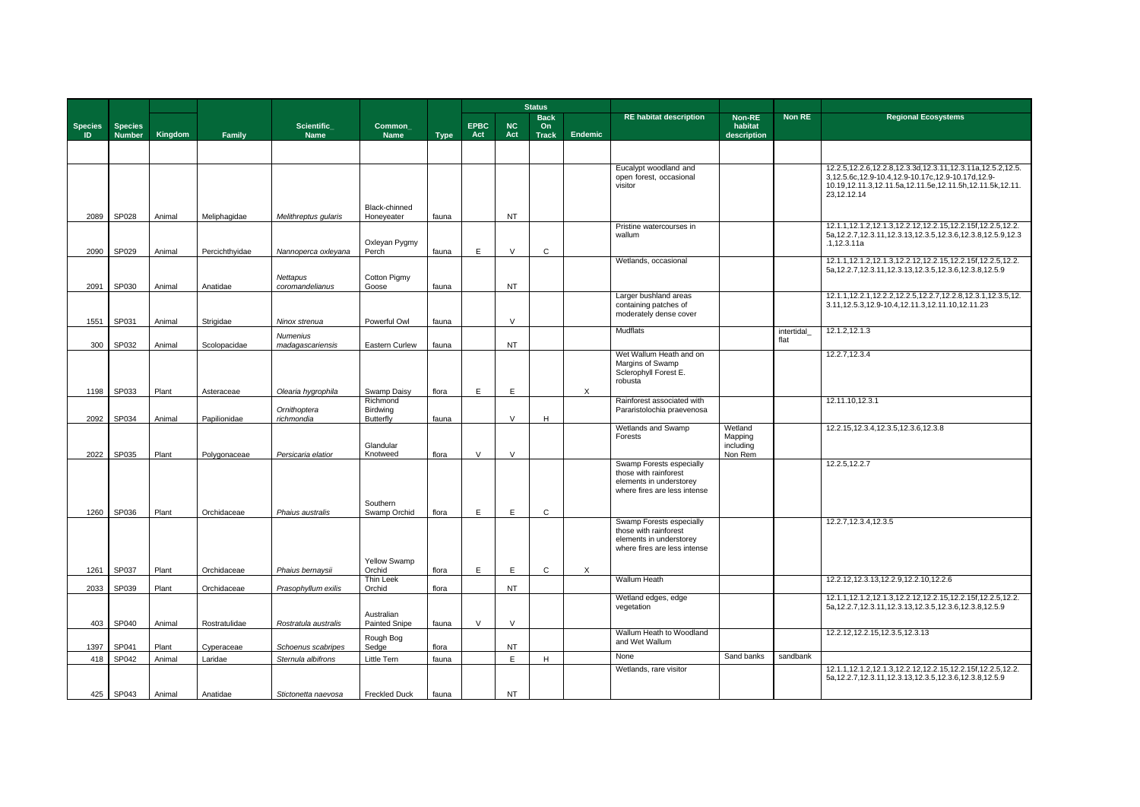|                       |                                 |                  |                       |                                     |                                                 |                |                    | <b>Status</b>       |                                   |                |                                                                                                              |                                            |                    |                                                                                                                                                                                                 |
|-----------------------|---------------------------------|------------------|-----------------------|-------------------------------------|-------------------------------------------------|----------------|--------------------|---------------------|-----------------------------------|----------------|--------------------------------------------------------------------------------------------------------------|--------------------------------------------|--------------------|-------------------------------------------------------------------------------------------------------------------------------------------------------------------------------------------------|
| <b>Species</b><br>ID. | <b>Species</b><br><b>Number</b> | Kingdom          | Family                | Scientific_<br><b>Name</b>          | <b>Common</b><br><b>Name</b>                    | <b>Type</b>    | <b>EPBC</b><br>Act | <b>NC</b><br>Act    | <b>Back</b><br>On<br><b>Track</b> | <b>Endemic</b> | <b>RE habitat description</b>                                                                                | Non-RE<br>habitat<br>description           | Non RE             | <b>Regional Ecosystems</b>                                                                                                                                                                      |
|                       |                                 |                  |                       |                                     |                                                 |                |                    |                     |                                   |                |                                                                                                              |                                            |                    |                                                                                                                                                                                                 |
|                       |                                 |                  |                       |                                     |                                                 |                |                    |                     |                                   |                | Eucalypt woodland and<br>open forest, occasional<br>visitor                                                  |                                            |                    | 12.2.5, 12.2.6, 12.2.8, 12.3.3d, 12.3.11, 12.3.11a, 12.5.2, 12.5<br>3,12.5.6c,12.9-10.4,12.9-10.17c,12.9-10.17d,12.9-<br>10.19,12.11.3,12.11.5a,12.11.5e,12.11.5h,12.11.5k,12.11<br>23,12.12.14 |
| 2089                  | SP028                           | Animal           | Meliphagidae          | Melithreptus gularis                | Black-chinned<br>Honeyeater                     | fauna          |                    | <b>NT</b>           |                                   |                |                                                                                                              |                                            |                    |                                                                                                                                                                                                 |
| 2090                  | SP029                           | Animal           | Percichthyidae        | Nannoperca oxleyana                 | Oxleyan Pygmy<br>Perch                          | fauna          | E                  | $\vee$              | $\mathsf{C}$                      |                | Pristine watercourses in<br>wallum                                                                           |                                            |                    | 12.1.1, 12.1.2, 12.1.3, 12.2.12, 12.2.15, 12.2.15f, 12.2.5, 12.2.<br>5a, 12.2.7, 12.3.11, 12.3.13, 12.3.5, 12.3.6, 12.3.8, 12.5.9, 12.<br>.1,12.3.11a                                           |
|                       |                                 |                  |                       | Nettapus                            | <b>Cotton Pigmy</b>                             |                |                    |                     |                                   |                | Wetlands, occasional                                                                                         |                                            |                    | 12.1.1, 12.1.2, 12.1.3, 12.2.12, 12.2.15, 12.2.15f, 12.2.5, 12.2.<br>5a, 12.2.7, 12.3.11, 12.3.13, 12.3.5, 12.3.6, 12.3.8, 12.5.9                                                               |
| 2091<br>1551          | SP030<br>SP031                  | Animal<br>Animal | Anatidae<br>Strigidae | coromandelianus<br>Ninox strenua    | Goose<br>Powerful Owl                           | fauna<br>fauna |                    | <b>NT</b><br>$\vee$ |                                   |                | Larger bushland areas<br>containing patches of<br>moderately dense cover                                     |                                            |                    | 12.1.1, 12.2.1, 12.2.2, 12.2.5, 12.2.7, 12.2.8, 12.3.1, 12.3.5, 12<br>3.11, 12.5.3, 12.9-10.4, 12.11.3, 12.11.10, 12.11.23                                                                      |
| 300                   | SP032                           | Animal           | Scolopacidae          | <b>Numenius</b><br>madagascariensis | Eastern Curlew                                  | fauna          |                    | <b>NT</b>           |                                   |                | Mudflats                                                                                                     |                                            | intertidal<br>flat | 12.1.2,12.1.3                                                                                                                                                                                   |
|                       |                                 |                  |                       |                                     |                                                 |                |                    |                     |                                   |                | Wet Wallum Heath and on<br>Margins of Swamp<br>Sclerophyll Forest E.<br>robusta                              |                                            |                    | 12.2.7,12.3.4                                                                                                                                                                                   |
|                       | 1198 SP033                      | Plant            | Asteraceae            | Olearia hygrophila                  | Swamp Daisy                                     | flora          | E.                 | E                   |                                   | $\mathsf{X}$   |                                                                                                              |                                            |                    |                                                                                                                                                                                                 |
| 2092                  | SP034                           | Animal           | Papilionidae          | Ornithoptera<br>richmondia          | Richmond<br><b>Birdwing</b><br><b>Butterfly</b> | fauna          |                    | $\vee$              | H                                 |                | Rainforest associated with<br>Pararistolochia praevenosa                                                     |                                            |                    | 12.11.10,12.3.1                                                                                                                                                                                 |
| 2022                  | SP035                           | Plant            | Polygonaceae          | Persicaria elatior                  | Glandular<br>Knotweed                           | flora          | $\vee$             | $\vee$              |                                   |                | Wetlands and Swamp<br>Forests                                                                                | Wetland<br>Mapping<br>including<br>Non Rem |                    | 12.2.15, 12.3.4, 12.3.5, 12.3.6, 12.3.8                                                                                                                                                         |
|                       |                                 |                  |                       |                                     | Southern                                        |                |                    |                     |                                   |                | Swamp Forests especially<br>those with rainforest<br>elements in understorey<br>where fires are less intense |                                            |                    | 12.2.5, 12.2.7                                                                                                                                                                                  |
| 1260                  | SP036                           | Plant            | Orchidaceae           | Phaius australis                    | Swamp Orchid                                    | flora          | E                  | E                   | $\mathbf C$                       |                | Swamp Forests especially<br>those with rainforest<br>elements in understorey<br>where fires are less intense |                                            |                    | 12.2.7, 12.3.4, 12.3.5                                                                                                                                                                          |
|                       | 1261 SP037                      | Plant            | Orchidaceae           | Phaius bernaysii                    | Yellow Swamp<br>Orchid                          | flora          | E                  | E.                  | $\mathsf{C}$                      | X              |                                                                                                              |                                            |                    |                                                                                                                                                                                                 |
| 2033                  | SP039                           | Plant            | Orchidaceae           | Prasophyllum exilis                 | Thin Leek<br>Orchid                             | flora          |                    | <b>NT</b>           |                                   |                | <b>Wallum Heath</b>                                                                                          |                                            |                    | 12.2.12, 12.3.13, 12.2.9, 12.2.10, 12.2.6                                                                                                                                                       |
|                       | 403 SP040                       | Animal           | Rostratulidae         | Rostratula australis                | Australian<br><b>Painted Snipe</b>              | fauna          | $\vee$             | $\vee$              |                                   |                | Wetland edges, edge<br>vegetation                                                                            |                                            |                    | 12.1.1, 12.1.2, 12.1.3, 12.2.12, 12.2.15, 12.2.15f, 12.2.5, 12.2.<br>5a, 12.2.7, 12.3.11, 12.3.13, 12.3.5, 12.3.6, 12.3.8, 12.5.9                                                               |
| 1397                  | SP041                           | Plant            | Cyperaceae            | Schoenus scabripes                  | Rough Bog<br>Sedge                              | flora          |                    | <b>NT</b>           |                                   |                | Wallum Heath to Woodland<br>and Wet Wallum                                                                   |                                            |                    | 12.2.12,12.2.15,12.3.5,12.3.13                                                                                                                                                                  |
| 418                   | SP042                           | Animal           | Laridae               | Sternula albifrons                  | <b>Little Tern</b>                              | fauna          |                    | E                   | H                                 |                | None                                                                                                         | Sand banks                                 | sandbank           |                                                                                                                                                                                                 |
|                       |                                 |                  |                       |                                     |                                                 |                |                    |                     |                                   |                | Wetlands, rare visitor                                                                                       |                                            |                    | 12.1.1, 12.1.2, 12.1.3, 12.2.12, 12.2.15, 12.2.15f, 12.2.5, 12.2.<br>5a, 12.2.7, 12.3.11, 12.3.13, 12.3.5, 12.3.6, 12.3.8, 12.5.9                                                               |
|                       | 425 SP043                       | Animal           | Anatidae              | Stictonetta naevosa                 | <b>Freckled Duck</b>                            | fauna          |                    | <b>NT</b>           |                                   |                |                                                                                                              |                                            |                    |                                                                                                                                                                                                 |

| <b>Non RE</b>   | <b>Regional Ecosystems</b>                                                                                                                                                                        |
|-----------------|---------------------------------------------------------------------------------------------------------------------------------------------------------------------------------------------------|
|                 |                                                                                                                                                                                                   |
|                 |                                                                                                                                                                                                   |
|                 | 12.2.5, 12.2.6, 12.2.8, 12.3.3d, 12.3.11, 12.3.11a, 12.5.2, 12.5.<br>3,12.5.6c,12.9-10.4,12.9-10.17c,12.9-10.17d,12.9-<br>10.19,12.11.3,12.11.5a,12.11.5e,12.11.5h,12.11.5k,12.11.<br>23,12.12.14 |
|                 | 12.1.1, 12.1.2, 12.1.3, 12.2.12, 12.2.15, 12.2.15f, 12.2.5, 12.2.<br>5a, 12.2.7, 12.3.11, 12.3.13, 12.3.5, 12.3.6, 12.3.8, 12.5.9, 12.3<br>.1,12.3.11a                                            |
|                 | 12.1.1, 12.1.2, 12.1.3, 12.2.12, 12.2.15, 12.2.15f, 12.2.5, 12.2.<br>5a, 12.2.7, 12.3.11, 12.3.13, 12.3.5, 12.3.6, 12.3.8, 12.5.9                                                                 |
|                 | 12.1.1, 12.2.1, 12.2.2, 12.2.5, 12.2.7, 12.2.8, 12.3.1, 12.3.5, 12.<br>3.11, 12.5.3, 12.9-10.4, 12.11.3, 12.11.10, 12.11.23                                                                       |
| tertidal_<br>аt | 12.1.2,12.1.3                                                                                                                                                                                     |
|                 | 12.2.7,12.3.4                                                                                                                                                                                     |
|                 | 12.11.10,12.3.1                                                                                                                                                                                   |
|                 | 12.2.15, 12.3.4, 12.3.5, 12.3.6, 12.3.8                                                                                                                                                           |
|                 | 12.2.5, 12.2.7                                                                                                                                                                                    |
|                 | 12.2.7, 12.3.4, 12.3.5                                                                                                                                                                            |
|                 | 12.2.12,12.3.13,12.2.9,12.2.10,12.2.6                                                                                                                                                             |
|                 | 12.1.1, 12.1.2, 12.1.3, 12.2.12, 12.2.15, 12.2.15f, 12.2.5, 12.2.<br>5a, 12.2.7, 12.3.11, 12.3.13, 12.3.5, 12.3.6, 12.3.8, 12.5.9                                                                 |
|                 | 12.2.12,12.2.15,12.3.5,12.3.13                                                                                                                                                                    |
| andbank         |                                                                                                                                                                                                   |
|                 | 12.1.1, 12.1.2, 12.1.3, 12.2.12, 12.2.15, 12.2.15f, 12.2.5, 12.2.<br>5a, 12.2.7, 12.3.11, 12.3.13, 12.3.5, 12.3.6, 12.3.8, 12.5.9                                                                 |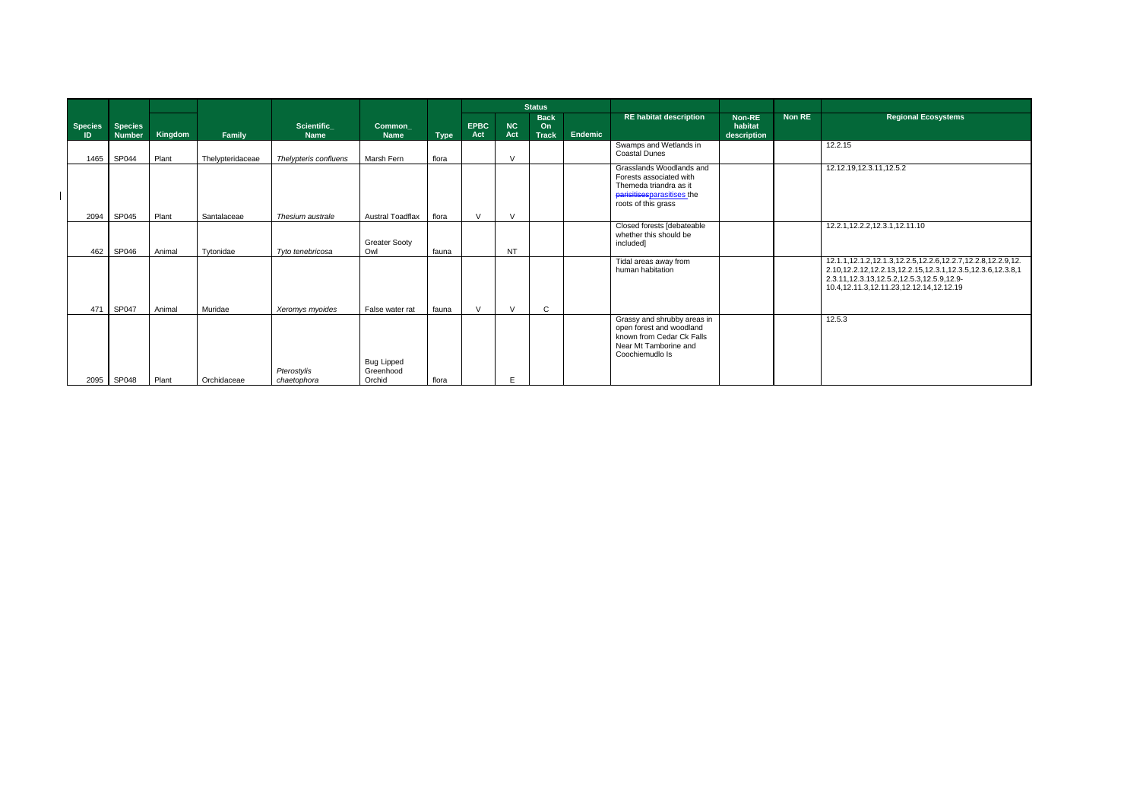|                             |                                 |         |                  |                                  |                                          |             |                    |                  | <b>Status</b>                     |                |                                                                                                                                    |                                         |        |                                                                                                                                                                                                                                            |
|-----------------------------|---------------------------------|---------|------------------|----------------------------------|------------------------------------------|-------------|--------------------|------------------|-----------------------------------|----------------|------------------------------------------------------------------------------------------------------------------------------------|-----------------------------------------|--------|--------------------------------------------------------------------------------------------------------------------------------------------------------------------------------------------------------------------------------------------|
| <b>Species</b><br><b>ID</b> | <b>Species</b><br><b>Number</b> | Kingdom | Family           | <b>Scientific</b><br><b>Name</b> | <b>Common</b><br><b>Name</b>             | <b>Type</b> | <b>EPBC</b><br>Act | <b>NC</b><br>Act | <b>Back</b><br>On<br><b>Track</b> | <b>Endemic</b> | <b>RE habitat description</b>                                                                                                      | <b>Non-RE</b><br>habitat<br>description | Non RE | <b>Regional Ecosystems</b>                                                                                                                                                                                                                 |
|                             | 1465 SP044                      | Plant   | Thelypteridaceae | Thelypteris confluens            | Marsh Fern                               | flora       |                    | $\mathcal{U}$    |                                   |                | Swamps and Wetlands in<br><b>Coastal Dunes</b>                                                                                     |                                         |        | 12.2.15                                                                                                                                                                                                                                    |
| 2094                        | SP045                           | Plant   | Santalaceae      | Thesium australe                 | <b>Austral Toadflax</b>                  | flora       | $\mathcal{U}$      | $\mathcal{U}$    |                                   |                | Grasslands Woodlands and<br>Forests associated with<br>Themeda triandra as it<br>parisitisesparasitises the<br>roots of this grass |                                         |        | 12.12.19,12.3.11,12.5.2                                                                                                                                                                                                                    |
|                             | 462 SP046                       | Animal  | Tytonidae        | Tyto tenebricosa                 | <b>Greater Sooty</b><br>Owl              | fauna       |                    | <b>NT</b>        |                                   |                | Closed forests [debateable<br>whether this should be<br>included]                                                                  |                                         |        | 12.2.1, 12.2.2, 12.3.1, 12.11.10                                                                                                                                                                                                           |
| 471                         | SP047                           | Animal  | Muridae          | Xeromys myoides                  | False water rat                          | fauna       | $\vee$             | $\mathcal{N}$    | C                                 |                | Tidal areas away from<br>human habitation                                                                                          |                                         |        | 12.1.1, 12.1.2, 12.1.3, 12.2.5, 12.2.6, 12.2.7, 12.2.8, 12.2.9, 12.<br>2.10, 12.2.12, 12.2.13, 12.2.15, 12.3.1, 12.3.5, 12.3.6, 12.3.8, 1<br>2.3.11, 12.3.13, 12.5.2, 12.5.3, 12.5.9, 12.9-<br>10.4, 12.11.3, 12.11.23, 12.12.14, 12.12.19 |
|                             | 2095 SP048                      | Plant   | Orchidaceae      | Pterostylis<br>chaetophora       | <b>Bug Lipped</b><br>Greenhood<br>Orchid | flora       |                    | E                |                                   |                | Grassy and shrubby areas in<br>open forest and woodland<br>known from Cedar Ck Falls<br>Near Mt Tamborine and<br>Coochiemudlo Is   |                                         |        | 12.5.3                                                                                                                                                                                                                                     |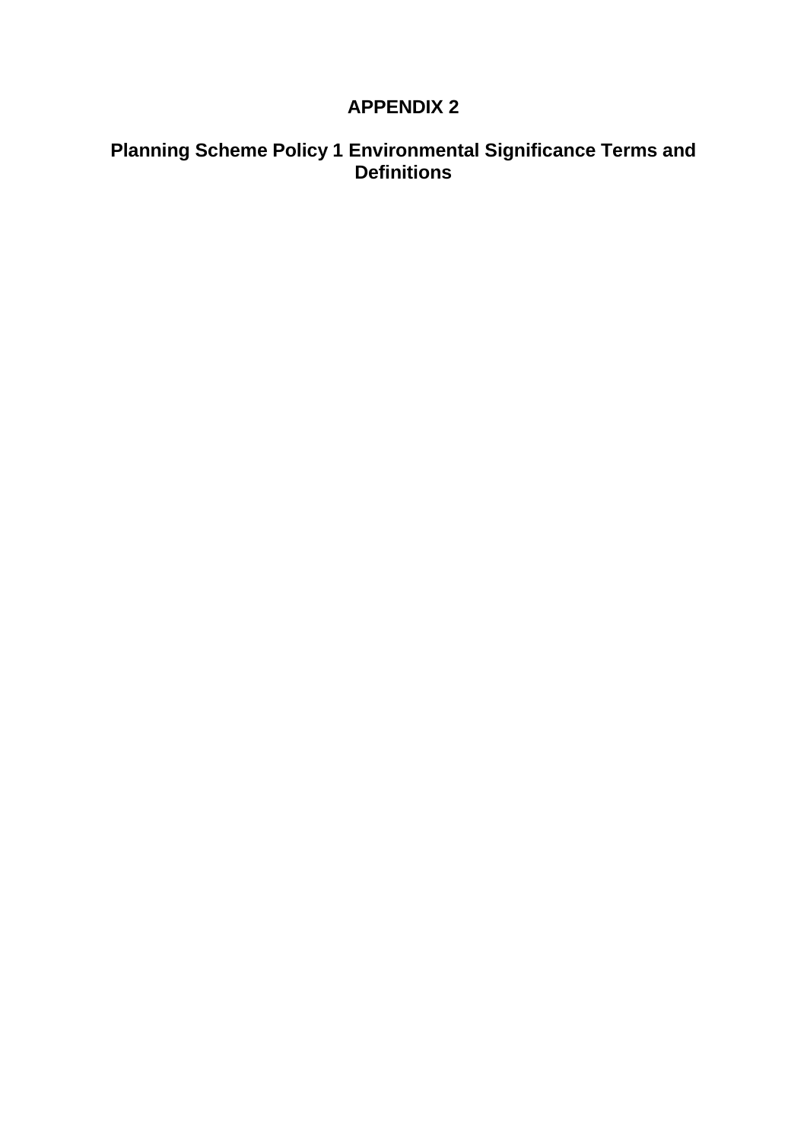# **APPENDIX 2**

# **Planning Scheme Policy 1 Environmental Significance Terms and Definitions**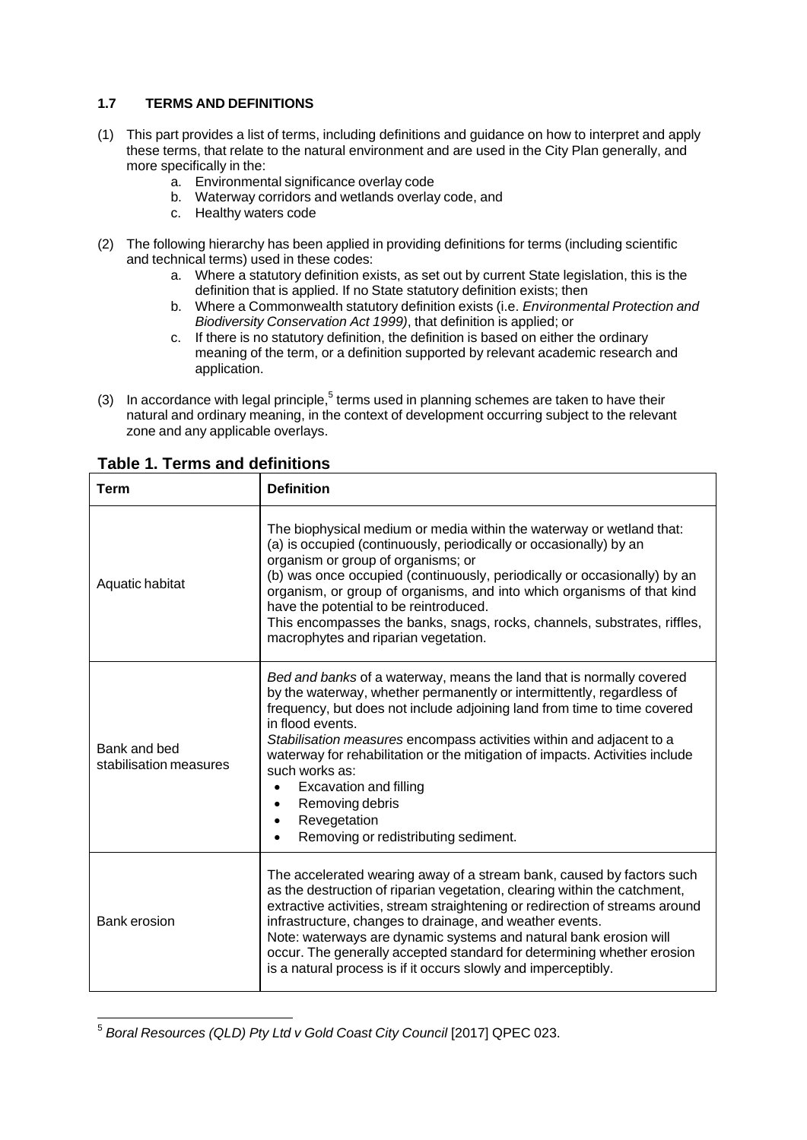## **1.7 TERMS AND DEFINITIONS**

- (1) This part provides a list of terms, including definitions and guidance on how to interpret and apply these terms, that relate to the natural environment and are used in the City Plan generally, and more specifically in the:
	- a. Environmental significance overlay code
	- b. Waterway corridors and wetlands overlay code, and
	- c. Healthy waters code
- (2) The following hierarchy has been applied in providing definitions for terms (including scientific and technical terms) used in these codes:
	- a. Where a statutory definition exists, as set out by current State legislation, this is the definition that is applied. If no State statutory definition exists; then
	- b. Where a Commonwealth statutory definition exists (i.e. *Environmental Protection and Biodiversity Conservation Act 1999)*, that definition is applied; or
	- c. If there is no statutory definition, the definition is based on either the ordinary meaning of the term, or a definition supported by relevant academic research and application.
- (3) In accordance with legal principle,<sup>5</sup> terms used in planning schemes are taken to have their natural and ordinary meaning, in the context of development occurring subject to the relevant zone and any applicable overlays.

| <b>Term</b>                            | <b>Definition</b>                                                                                                                                                                                                                                                                                                                                                                                                                                                                                                                                      |
|----------------------------------------|--------------------------------------------------------------------------------------------------------------------------------------------------------------------------------------------------------------------------------------------------------------------------------------------------------------------------------------------------------------------------------------------------------------------------------------------------------------------------------------------------------------------------------------------------------|
| Aquatic habitat                        | The biophysical medium or media within the waterway or wetland that:<br>(a) is occupied (continuously, periodically or occasionally) by an<br>organism or group of organisms; or<br>(b) was once occupied (continuously, periodically or occasionally) by an<br>organism, or group of organisms, and into which organisms of that kind<br>have the potential to be reintroduced.<br>This encompasses the banks, snags, rocks, channels, substrates, riffles,<br>macrophytes and riparian vegetation.                                                   |
| Bank and bed<br>stabilisation measures | Bed and banks of a waterway, means the land that is normally covered<br>by the waterway, whether permanently or intermittently, regardless of<br>frequency, but does not include adjoining land from time to time covered<br>in flood events.<br>Stabilisation measures encompass activities within and adjacent to a<br>waterway for rehabilitation or the mitigation of impacts. Activities include<br>such works as:<br>Excavation and filling<br>$\bullet$<br>Removing debris<br>Revegetation<br>$\bullet$<br>Removing or redistributing sediment. |
| Bank erosion                           | The accelerated wearing away of a stream bank, caused by factors such<br>as the destruction of riparian vegetation, clearing within the catchment,<br>extractive activities, stream straightening or redirection of streams around<br>infrastructure, changes to drainage, and weather events.<br>Note: waterways are dynamic systems and natural bank erosion will<br>occur. The generally accepted standard for determining whether erosion<br>is a natural process is if it occurs slowly and imperceptibly.                                        |

## **Table 1. Terms and definitions**

<sup>5</sup> *Boral Resources (QLD) Pty Ltd v Gold Coast City Council* [2017] QPEC 023.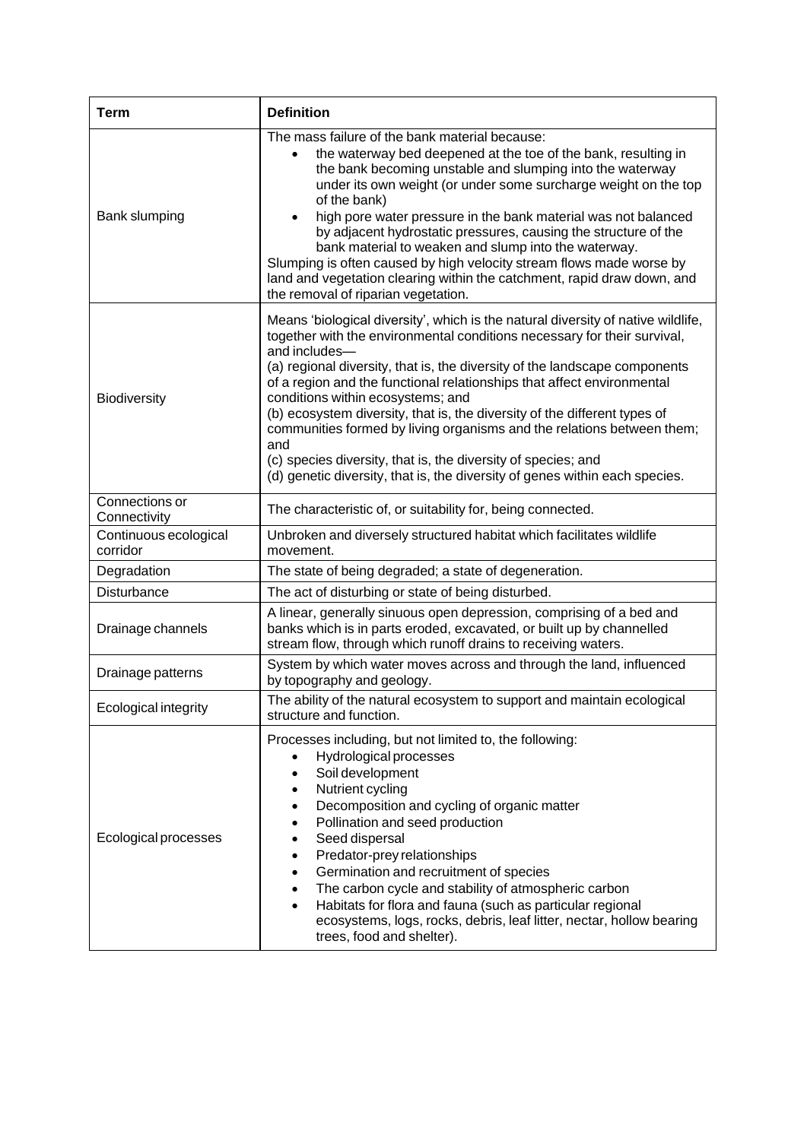| <b>Term</b>                       | <b>Definition</b>                                                                                                                                                                                                                                                                                                                                                                                                                                                                                                                                                                                                                                                                        |  |  |  |  |  |  |  |
|-----------------------------------|------------------------------------------------------------------------------------------------------------------------------------------------------------------------------------------------------------------------------------------------------------------------------------------------------------------------------------------------------------------------------------------------------------------------------------------------------------------------------------------------------------------------------------------------------------------------------------------------------------------------------------------------------------------------------------------|--|--|--|--|--|--|--|
| Bank slumping                     | The mass failure of the bank material because:<br>the waterway bed deepened at the toe of the bank, resulting in<br>the bank becoming unstable and slumping into the waterway<br>under its own weight (or under some surcharge weight on the top<br>of the bank)<br>high pore water pressure in the bank material was not balanced<br>by adjacent hydrostatic pressures, causing the structure of the<br>bank material to weaken and slump into the waterway.<br>Slumping is often caused by high velocity stream flows made worse by<br>land and vegetation clearing within the catchment, rapid draw down, and<br>the removal of riparian vegetation.                                  |  |  |  |  |  |  |  |
| <b>Biodiversity</b>               | Means 'biological diversity', which is the natural diversity of native wildlife,<br>together with the environmental conditions necessary for their survival,<br>and includes-<br>(a) regional diversity, that is, the diversity of the landscape components<br>of a region and the functional relationships that affect environmental<br>conditions within ecosystems; and<br>(b) ecosystem diversity, that is, the diversity of the different types of<br>communities formed by living organisms and the relations between them;<br>and<br>(c) species diversity, that is, the diversity of species; and<br>(d) genetic diversity, that is, the diversity of genes within each species. |  |  |  |  |  |  |  |
| Connections or<br>Connectivity    | The characteristic of, or suitability for, being connected.                                                                                                                                                                                                                                                                                                                                                                                                                                                                                                                                                                                                                              |  |  |  |  |  |  |  |
| Continuous ecological<br>corridor | Unbroken and diversely structured habitat which facilitates wildlife<br>movement.                                                                                                                                                                                                                                                                                                                                                                                                                                                                                                                                                                                                        |  |  |  |  |  |  |  |
| Degradation                       | The state of being degraded; a state of degeneration.                                                                                                                                                                                                                                                                                                                                                                                                                                                                                                                                                                                                                                    |  |  |  |  |  |  |  |
| Disturbance                       | The act of disturbing or state of being disturbed.                                                                                                                                                                                                                                                                                                                                                                                                                                                                                                                                                                                                                                       |  |  |  |  |  |  |  |
| Drainage channels                 | A linear, generally sinuous open depression, comprising of a bed and<br>banks which is in parts eroded, excavated, or built up by channelled<br>stream flow, through which runoff drains to receiving waters.                                                                                                                                                                                                                                                                                                                                                                                                                                                                            |  |  |  |  |  |  |  |
| Drainage patterns                 | System by which water moves across and through the land, influenced<br>by topography and geology.                                                                                                                                                                                                                                                                                                                                                                                                                                                                                                                                                                                        |  |  |  |  |  |  |  |
| Ecological integrity              | The ability of the natural ecosystem to support and maintain ecological<br>structure and function.                                                                                                                                                                                                                                                                                                                                                                                                                                                                                                                                                                                       |  |  |  |  |  |  |  |
| Ecological processes              | Processes including, but not limited to, the following:<br>Hydrological processes<br>$\bullet$<br>Soil development<br>Nutrient cycling<br>$\bullet$<br>Decomposition and cycling of organic matter<br>$\bullet$<br>Pollination and seed production<br>Seed dispersal<br>٠<br>Predator-prey relationships<br>$\bullet$<br>Germination and recruitment of species<br>٠<br>The carbon cycle and stability of atmospheric carbon<br>$\bullet$<br>Habitats for flora and fauna (such as particular regional<br>$\bullet$<br>ecosystems, logs, rocks, debris, leaf litter, nectar, hollow bearing<br>trees, food and shelter).                                                                 |  |  |  |  |  |  |  |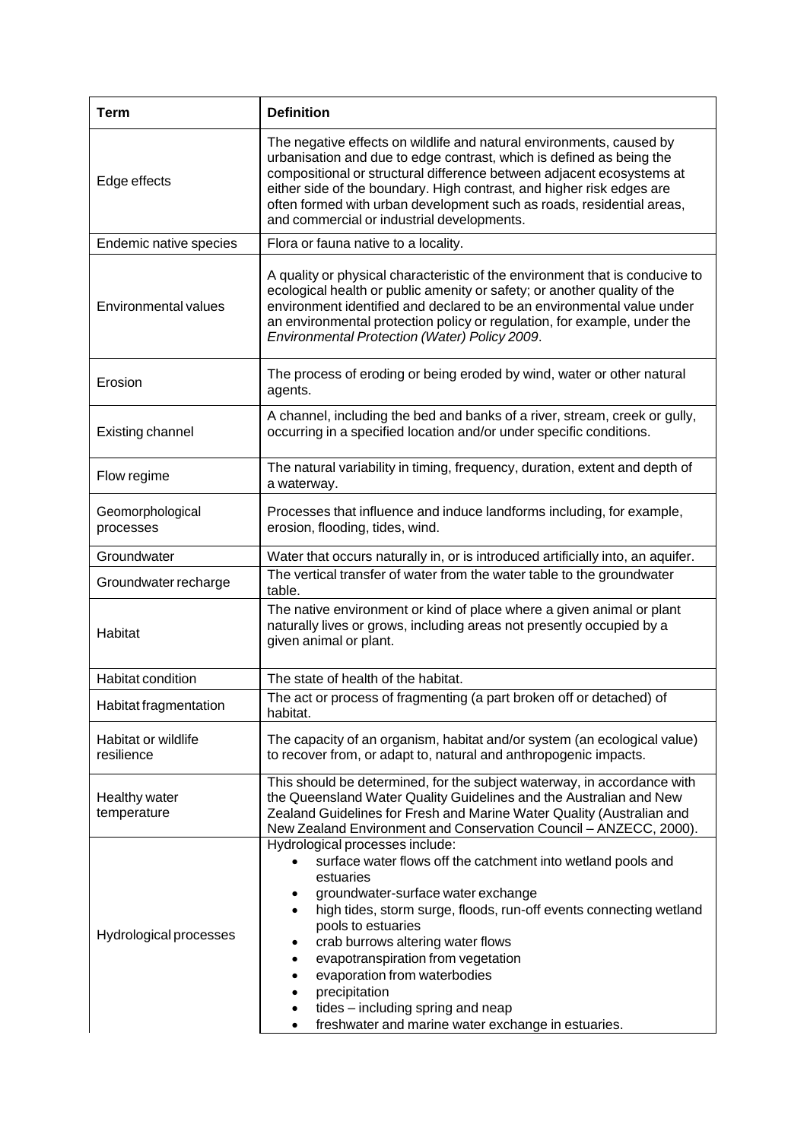| <b>Term</b>                       | <b>Definition</b>                                                                                                                                                                                                                                                                                                                                                                                                                                                                                 |  |  |  |  |  |  |  |  |
|-----------------------------------|---------------------------------------------------------------------------------------------------------------------------------------------------------------------------------------------------------------------------------------------------------------------------------------------------------------------------------------------------------------------------------------------------------------------------------------------------------------------------------------------------|--|--|--|--|--|--|--|--|
| Edge effects                      | The negative effects on wildlife and natural environments, caused by<br>urbanisation and due to edge contrast, which is defined as being the<br>compositional or structural difference between adjacent ecosystems at<br>either side of the boundary. High contrast, and higher risk edges are<br>often formed with urban development such as roads, residential areas,<br>and commercial or industrial developments.                                                                             |  |  |  |  |  |  |  |  |
| Endemic native species            | Flora or fauna native to a locality.                                                                                                                                                                                                                                                                                                                                                                                                                                                              |  |  |  |  |  |  |  |  |
| <b>Environmental values</b>       | A quality or physical characteristic of the environment that is conducive to<br>ecological health or public amenity or safety; or another quality of the<br>environment identified and declared to be an environmental value under<br>an environmental protection policy or regulation, for example, under the<br>Environmental Protection (Water) Policy 2009.                                                                                                                                   |  |  |  |  |  |  |  |  |
| Erosion                           | The process of eroding or being eroded by wind, water or other natural<br>agents.                                                                                                                                                                                                                                                                                                                                                                                                                 |  |  |  |  |  |  |  |  |
| <b>Existing channel</b>           | A channel, including the bed and banks of a river, stream, creek or gully,<br>occurring in a specified location and/or under specific conditions.                                                                                                                                                                                                                                                                                                                                                 |  |  |  |  |  |  |  |  |
| Flow regime                       | The natural variability in timing, frequency, duration, extent and depth of<br>a waterway.                                                                                                                                                                                                                                                                                                                                                                                                        |  |  |  |  |  |  |  |  |
| Geomorphological<br>processes     | Processes that influence and induce landforms including, for example,<br>erosion, flooding, tides, wind.                                                                                                                                                                                                                                                                                                                                                                                          |  |  |  |  |  |  |  |  |
| Groundwater                       | Water that occurs naturally in, or is introduced artificially into, an aquifer.                                                                                                                                                                                                                                                                                                                                                                                                                   |  |  |  |  |  |  |  |  |
| Groundwater recharge              | The vertical transfer of water from the water table to the groundwater<br>table.                                                                                                                                                                                                                                                                                                                                                                                                                  |  |  |  |  |  |  |  |  |
| Habitat                           | The native environment or kind of place where a given animal or plant<br>naturally lives or grows, including areas not presently occupied by a<br>given animal or plant.                                                                                                                                                                                                                                                                                                                          |  |  |  |  |  |  |  |  |
| Habitat condition                 | The state of health of the habitat.                                                                                                                                                                                                                                                                                                                                                                                                                                                               |  |  |  |  |  |  |  |  |
| Habitat fragmentation             | The act or process of fragmenting (a part broken off or detached) of<br>habitat.                                                                                                                                                                                                                                                                                                                                                                                                                  |  |  |  |  |  |  |  |  |
| Habitat or wildlife<br>resilience | The capacity of an organism, habitat and/or system (an ecological value)<br>to recover from, or adapt to, natural and anthropogenic impacts.                                                                                                                                                                                                                                                                                                                                                      |  |  |  |  |  |  |  |  |
| Healthy water<br>temperature      | This should be determined, for the subject waterway, in accordance with<br>the Queensland Water Quality Guidelines and the Australian and New<br>Zealand Guidelines for Fresh and Marine Water Quality (Australian and<br>New Zealand Environment and Conservation Council - ANZECC, 2000).                                                                                                                                                                                                       |  |  |  |  |  |  |  |  |
| Hydrological processes            | Hydrological processes include:<br>surface water flows off the catchment into wetland pools and<br>estuaries<br>groundwater-surface water exchange<br>٠<br>high tides, storm surge, floods, run-off events connecting wetland<br>٠<br>pools to estuaries<br>crab burrows altering water flows<br>evapotranspiration from vegetation<br>evaporation from waterbodies<br>precipitation<br>$\bullet$<br>tides – including spring and neap<br>freshwater and marine water exchange in estuaries.<br>٠ |  |  |  |  |  |  |  |  |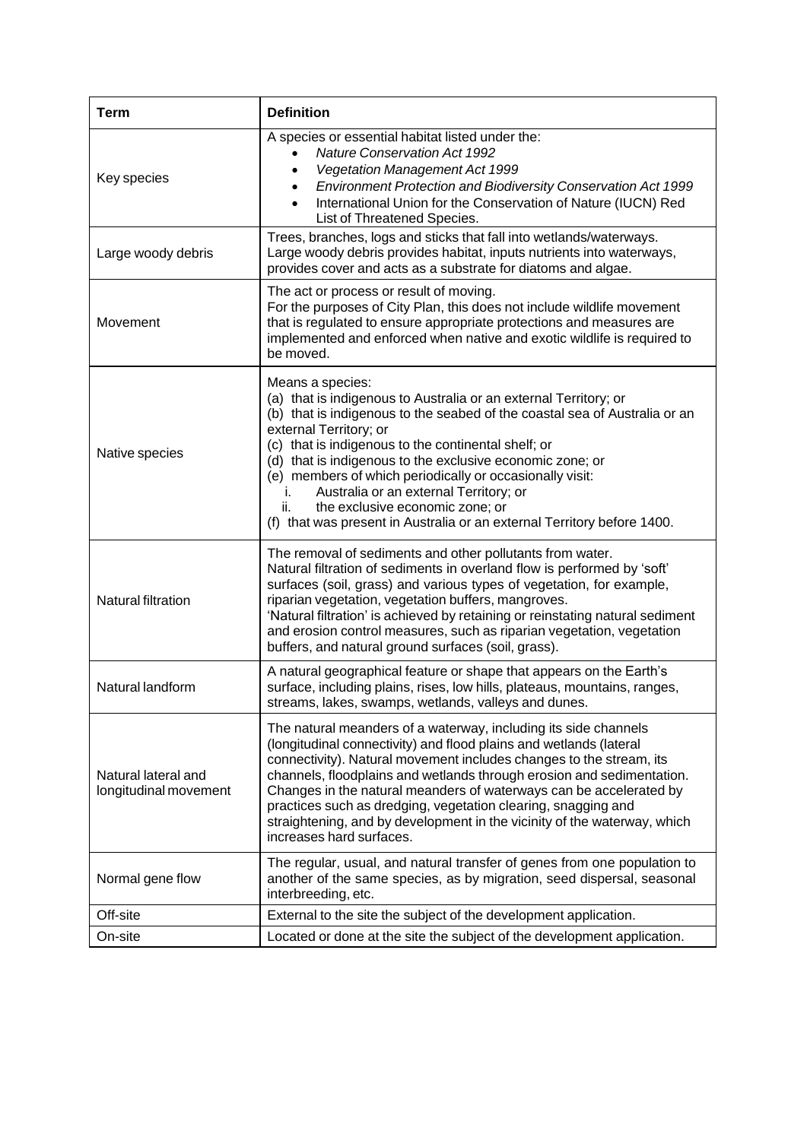| <b>Term</b>                                  | <b>Definition</b>                                                                                                                                                                                                                                                                                                                                                                                                                                                                                                                                 |
|----------------------------------------------|---------------------------------------------------------------------------------------------------------------------------------------------------------------------------------------------------------------------------------------------------------------------------------------------------------------------------------------------------------------------------------------------------------------------------------------------------------------------------------------------------------------------------------------------------|
| Key species                                  | A species or essential habitat listed under the:<br><b>Nature Conservation Act 1992</b><br><b>Vegetation Management Act 1999</b><br>Environment Protection and Biodiversity Conservation Act 1999<br>International Union for the Conservation of Nature (IUCN) Red<br>List of Threatened Species.                                                                                                                                                                                                                                                 |
| Large woody debris                           | Trees, branches, logs and sticks that fall into wetlands/waterways.<br>Large woody debris provides habitat, inputs nutrients into waterways,<br>provides cover and acts as a substrate for diatoms and algae.                                                                                                                                                                                                                                                                                                                                     |
| Movement                                     | The act or process or result of moving.<br>For the purposes of City Plan, this does not include wildlife movement<br>that is regulated to ensure appropriate protections and measures are<br>implemented and enforced when native and exotic wildlife is required to<br>be moved.                                                                                                                                                                                                                                                                 |
| Native species                               | Means a species:<br>(a) that is indigenous to Australia or an external Territory; or<br>(b) that is indigenous to the seabed of the coastal sea of Australia or an<br>external Territory; or<br>(c) that is indigenous to the continental shelf; or<br>(d) that is indigenous to the exclusive economic zone; or<br>(e) members of which periodically or occasionally visit:<br>Australia or an external Territory; or<br>i.<br>the exclusive economic zone; or<br>ii.<br>(f) that was present in Australia or an external Territory before 1400. |
| Natural filtration                           | The removal of sediments and other pollutants from water.<br>Natural filtration of sediments in overland flow is performed by 'soft'<br>surfaces (soil, grass) and various types of vegetation, for example,<br>riparian vegetation, vegetation buffers, mangroves.<br>'Natural filtration' is achieved by retaining or reinstating natural sediment<br>and erosion control measures, such as riparian vegetation, vegetation<br>buffers, and natural ground surfaces (soil, grass).                                                              |
| Natural landform                             | A natural geographical feature or shape that appears on the Earth's<br>surface, including plains, rises, low hills, plateaus, mountains, ranges,<br>streams, lakes, swamps, wetlands, valleys and dunes.                                                                                                                                                                                                                                                                                                                                          |
| Natural lateral and<br>longitudinal movement | The natural meanders of a waterway, including its side channels<br>(longitudinal connectivity) and flood plains and wetlands (lateral<br>connectivity). Natural movement includes changes to the stream, its<br>channels, floodplains and wetlands through erosion and sedimentation.<br>Changes in the natural meanders of waterways can be accelerated by<br>practices such as dredging, vegetation clearing, snagging and<br>straightening, and by development in the vicinity of the waterway, which<br>increases hard surfaces.              |
| Normal gene flow                             | The regular, usual, and natural transfer of genes from one population to<br>another of the same species, as by migration, seed dispersal, seasonal<br>interbreeding, etc.                                                                                                                                                                                                                                                                                                                                                                         |
| Off-site                                     | External to the site the subject of the development application.                                                                                                                                                                                                                                                                                                                                                                                                                                                                                  |
| On-site                                      | Located or done at the site the subject of the development application.                                                                                                                                                                                                                                                                                                                                                                                                                                                                           |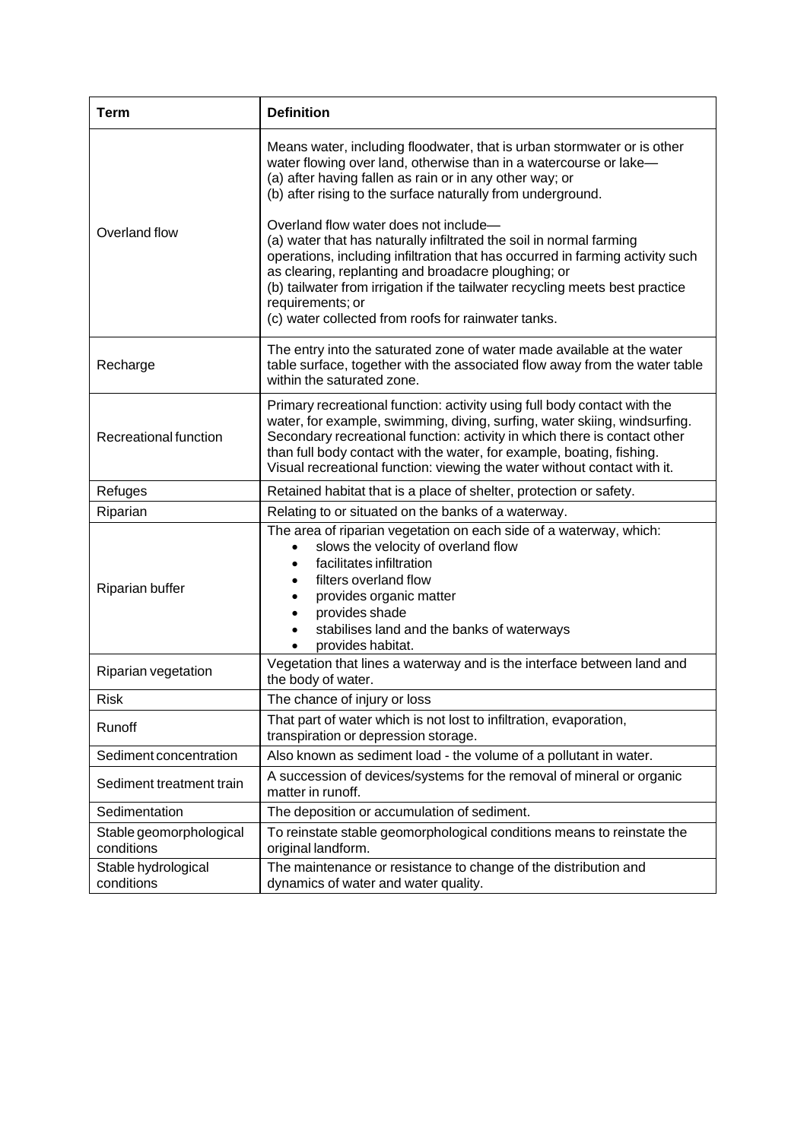| <b>Term</b>                           | <b>Definition</b>                                                                                                                                                                                                                                                                                                                                                                                               |  |
|---------------------------------------|-----------------------------------------------------------------------------------------------------------------------------------------------------------------------------------------------------------------------------------------------------------------------------------------------------------------------------------------------------------------------------------------------------------------|--|
|                                       | Means water, including floodwater, that is urban stormwater or is other<br>water flowing over land, otherwise than in a watercourse or lake-<br>(a) after having fallen as rain or in any other way; or<br>(b) after rising to the surface naturally from underground.                                                                                                                                          |  |
| Overland flow                         | Overland flow water does not include-<br>(a) water that has naturally infiltrated the soil in normal farming<br>operations, including infiltration that has occurred in farming activity such<br>as clearing, replanting and broadacre ploughing; or<br>(b) tailwater from irrigation if the tailwater recycling meets best practice<br>requirements; or<br>(c) water collected from roofs for rainwater tanks. |  |
| Recharge                              | The entry into the saturated zone of water made available at the water<br>table surface, together with the associated flow away from the water table<br>within the saturated zone.                                                                                                                                                                                                                              |  |
| Recreational function                 | Primary recreational function: activity using full body contact with the<br>water, for example, swimming, diving, surfing, water skiing, windsurfing.<br>Secondary recreational function: activity in which there is contact other<br>than full body contact with the water, for example, boating, fishing.<br>Visual recreational function: viewing the water without contact with it.                         |  |
| Refuges                               | Retained habitat that is a place of shelter, protection or safety.                                                                                                                                                                                                                                                                                                                                              |  |
| Riparian                              | Relating to or situated on the banks of a waterway.                                                                                                                                                                                                                                                                                                                                                             |  |
| Riparian buffer                       | The area of riparian vegetation on each side of a waterway, which:<br>slows the velocity of overland flow<br>$\bullet$<br>facilitates infiltration<br>$\bullet$<br>filters overland flow<br>provides organic matter<br>provides shade<br>$\bullet$<br>stabilises land and the banks of waterways<br>$\bullet$<br>provides habitat.                                                                              |  |
| Riparian vegetation                   | Vegetation that lines a waterway and is the interface between land and<br>the body of water.                                                                                                                                                                                                                                                                                                                    |  |
| Risk                                  | The chance of injury or loss                                                                                                                                                                                                                                                                                                                                                                                    |  |
| Runoff                                | That part of water which is not lost to infiltration, evaporation,<br>transpiration or depression storage.                                                                                                                                                                                                                                                                                                      |  |
| Sediment concentration                | Also known as sediment load - the volume of a pollutant in water.                                                                                                                                                                                                                                                                                                                                               |  |
| Sediment treatment train              | A succession of devices/systems for the removal of mineral or organic<br>matter in runoff.                                                                                                                                                                                                                                                                                                                      |  |
| Sedimentation                         | The deposition or accumulation of sediment.                                                                                                                                                                                                                                                                                                                                                                     |  |
| Stable geomorphological<br>conditions | To reinstate stable geomorphological conditions means to reinstate the<br>original landform.                                                                                                                                                                                                                                                                                                                    |  |
| Stable hydrological<br>conditions     | The maintenance or resistance to change of the distribution and<br>dynamics of water and water quality.                                                                                                                                                                                                                                                                                                         |  |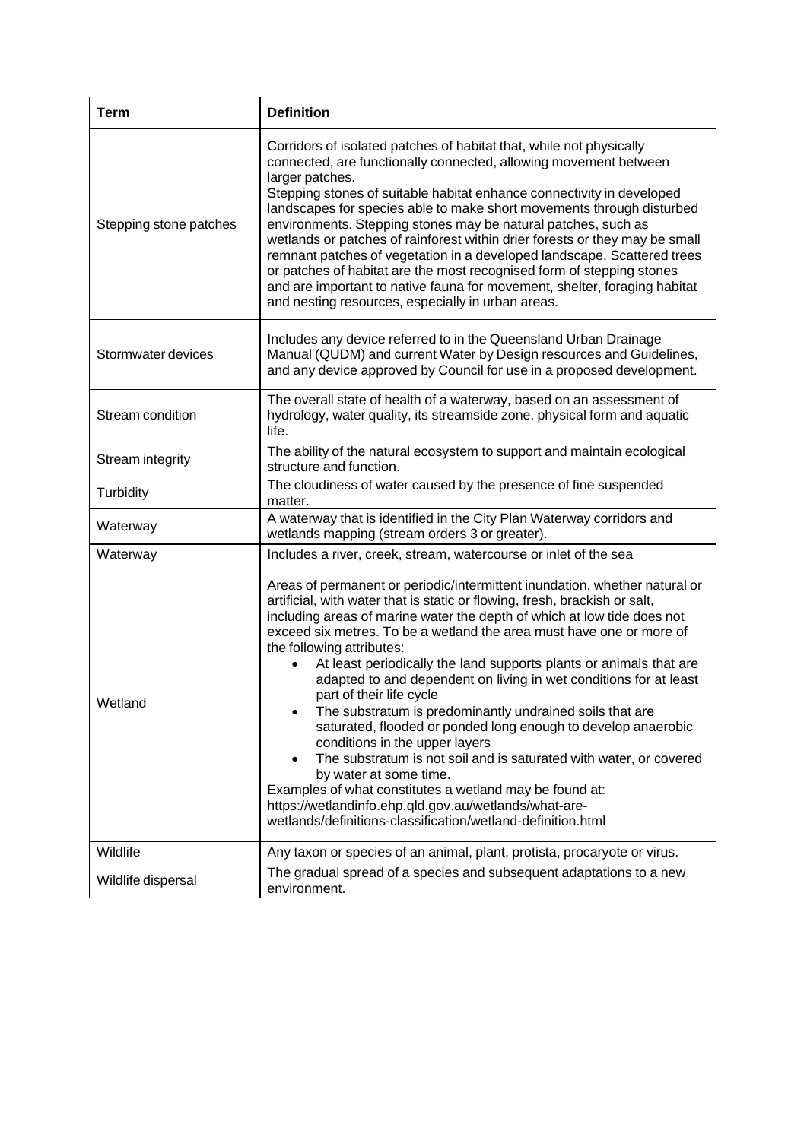| <b>Term</b>            | <b>Definition</b>                                                                                                                                                                                                                                                                                                                                                                                                                                                                                                                                                                                                                                                                                                                                                                                                                                                                                                                                                                           |
|------------------------|---------------------------------------------------------------------------------------------------------------------------------------------------------------------------------------------------------------------------------------------------------------------------------------------------------------------------------------------------------------------------------------------------------------------------------------------------------------------------------------------------------------------------------------------------------------------------------------------------------------------------------------------------------------------------------------------------------------------------------------------------------------------------------------------------------------------------------------------------------------------------------------------------------------------------------------------------------------------------------------------|
| Stepping stone patches | Corridors of isolated patches of habitat that, while not physically<br>connected, are functionally connected, allowing movement between<br>larger patches.<br>Stepping stones of suitable habitat enhance connectivity in developed<br>landscapes for species able to make short movements through disturbed<br>environments. Stepping stones may be natural patches, such as<br>wetlands or patches of rainforest within drier forests or they may be small<br>remnant patches of vegetation in a developed landscape. Scattered trees<br>or patches of habitat are the most recognised form of stepping stones<br>and are important to native fauna for movement, shelter, foraging habitat<br>and nesting resources, especially in urban areas.                                                                                                                                                                                                                                          |
| Stormwater devices     | Includes any device referred to in the Queensland Urban Drainage<br>Manual (QUDM) and current Water by Design resources and Guidelines,<br>and any device approved by Council for use in a proposed development.                                                                                                                                                                                                                                                                                                                                                                                                                                                                                                                                                                                                                                                                                                                                                                            |
| Stream condition       | The overall state of health of a waterway, based on an assessment of<br>hydrology, water quality, its streamside zone, physical form and aquatic<br>life.                                                                                                                                                                                                                                                                                                                                                                                                                                                                                                                                                                                                                                                                                                                                                                                                                                   |
| Stream integrity       | The ability of the natural ecosystem to support and maintain ecological<br>structure and function.                                                                                                                                                                                                                                                                                                                                                                                                                                                                                                                                                                                                                                                                                                                                                                                                                                                                                          |
| Turbidity              | The cloudiness of water caused by the presence of fine suspended<br>matter.                                                                                                                                                                                                                                                                                                                                                                                                                                                                                                                                                                                                                                                                                                                                                                                                                                                                                                                 |
| Waterway               | A waterway that is identified in the City Plan Waterway corridors and<br>wetlands mapping (stream orders 3 or greater).                                                                                                                                                                                                                                                                                                                                                                                                                                                                                                                                                                                                                                                                                                                                                                                                                                                                     |
| Waterway               | Includes a river, creek, stream, watercourse or inlet of the sea                                                                                                                                                                                                                                                                                                                                                                                                                                                                                                                                                                                                                                                                                                                                                                                                                                                                                                                            |
| Wetland                | Areas of permanent or periodic/intermittent inundation, whether natural or<br>artificial, with water that is static or flowing, fresh, brackish or salt,<br>including areas of marine water the depth of which at low tide does not<br>exceed six metres. To be a wetland the area must have one or more of<br>the following attributes:<br>At least periodically the land supports plants or animals that are<br>adapted to and dependent on living in wet conditions for at least<br>part of their life cycle<br>The substratum is predominantly undrained soils that are<br>$\bullet$<br>saturated, flooded or ponded long enough to develop anaerobic<br>conditions in the upper layers<br>The substratum is not soil and is saturated with water, or covered<br>$\bullet$<br>by water at some time.<br>Examples of what constitutes a wetland may be found at:<br>https://wetlandinfo.ehp.qld.gov.au/wetlands/what-are-<br>wetlands/definitions-classification/wetland-definition.html |
| Wildlife               | Any taxon or species of an animal, plant, protista, procaryote or virus.                                                                                                                                                                                                                                                                                                                                                                                                                                                                                                                                                                                                                                                                                                                                                                                                                                                                                                                    |
| Wildlife dispersal     | The gradual spread of a species and subsequent adaptations to a new<br>environment.                                                                                                                                                                                                                                                                                                                                                                                                                                                                                                                                                                                                                                                                                                                                                                                                                                                                                                         |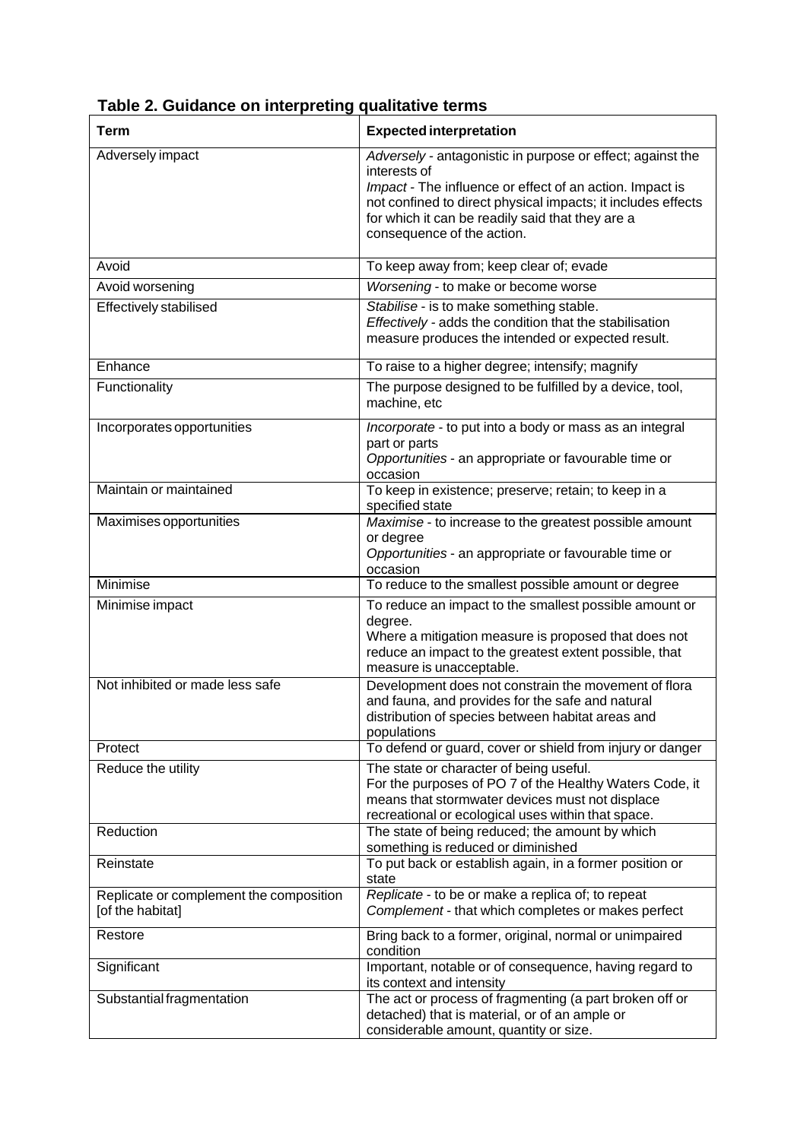| <b>Term</b>                                                 | <b>Expected interpretation</b>                                                                                                                                                                                                                                                           |
|-------------------------------------------------------------|------------------------------------------------------------------------------------------------------------------------------------------------------------------------------------------------------------------------------------------------------------------------------------------|
| Adversely impact                                            | Adversely - antagonistic in purpose or effect; against the<br>interests of<br>Impact - The influence or effect of an action. Impact is<br>not confined to direct physical impacts; it includes effects<br>for which it can be readily said that they are a<br>consequence of the action. |
| Avoid                                                       | To keep away from; keep clear of; evade                                                                                                                                                                                                                                                  |
| Avoid worsening                                             | Worsening - to make or become worse                                                                                                                                                                                                                                                      |
| <b>Effectively stabilised</b>                               | Stabilise - is to make something stable.<br>Effectively - adds the condition that the stabilisation<br>measure produces the intended or expected result.                                                                                                                                 |
| Enhance                                                     | To raise to a higher degree; intensify; magnify                                                                                                                                                                                                                                          |
| Functionality                                               | The purpose designed to be fulfilled by a device, tool,<br>machine, etc                                                                                                                                                                                                                  |
| Incorporates opportunities                                  | Incorporate - to put into a body or mass as an integral<br>part or parts<br>Opportunities - an appropriate or favourable time or<br>occasion                                                                                                                                             |
| Maintain or maintained                                      | To keep in existence; preserve; retain; to keep in a<br>specified state                                                                                                                                                                                                                  |
| Maximises opportunities                                     | Maximise - to increase to the greatest possible amount<br>or degree<br>Opportunities - an appropriate or favourable time or<br>occasion                                                                                                                                                  |
| Minimise                                                    | To reduce to the smallest possible amount or degree                                                                                                                                                                                                                                      |
| Minimise impact                                             | To reduce an impact to the smallest possible amount or<br>degree.<br>Where a mitigation measure is proposed that does not<br>reduce an impact to the greatest extent possible, that<br>measure is unacceptable.                                                                          |
| Not inhibited or made less safe                             | Development does not constrain the movement of flora<br>and fauna, and provides for the safe and natural<br>distribution of species between habitat areas and<br>populations                                                                                                             |
| Protect                                                     | To defend or guard, cover or shield from injury or danger                                                                                                                                                                                                                                |
| Reduce the utility                                          | The state or character of being useful.<br>For the purposes of PO 7 of the Healthy Waters Code, it<br>means that stormwater devices must not displace<br>recreational or ecological uses within that space.                                                                              |
| Reduction                                                   | The state of being reduced; the amount by which<br>something is reduced or diminished                                                                                                                                                                                                    |
| Reinstate                                                   | To put back or establish again, in a former position or<br>state                                                                                                                                                                                                                         |
| Replicate or complement the composition<br>[of the habitat] | Replicate - to be or make a replica of; to repeat<br>Complement - that which completes or makes perfect                                                                                                                                                                                  |
| Restore                                                     | Bring back to a former, original, normal or unimpaired<br>condition                                                                                                                                                                                                                      |
| Significant                                                 | Important, notable or of consequence, having regard to<br>its context and intensity                                                                                                                                                                                                      |
| Substantial fragmentation                                   | The act or process of fragmenting (a part broken off or<br>detached) that is material, or of an ample or<br>considerable amount, quantity or size.                                                                                                                                       |

**Table 2. Guidance on interpreting qualitative terms**